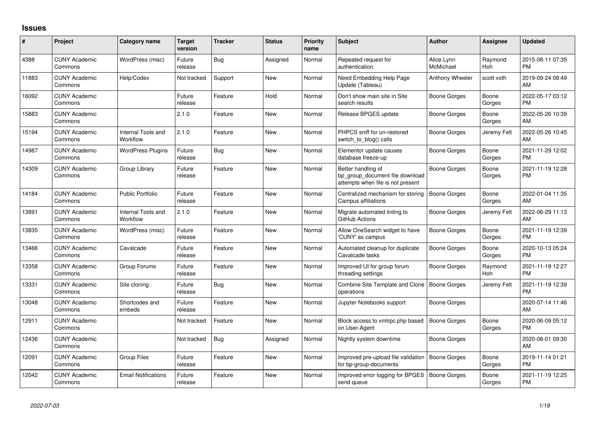## **Issues**

| #     | Project                         | <b>Category name</b>                  | <b>Target</b><br>version | <b>Tracker</b> | <b>Status</b> | <b>Priority</b><br>name | <b>Subject</b>                                                                             | <b>Author</b>           | Assignee        | <b>Updated</b>                |
|-------|---------------------------------|---------------------------------------|--------------------------|----------------|---------------|-------------------------|--------------------------------------------------------------------------------------------|-------------------------|-----------------|-------------------------------|
| 4388  | <b>CUNY Academic</b><br>Commons | WordPress (misc)                      | Future<br>release        | Bug            | Assigned      | Normal                  | Repeated request for<br>authentication.                                                    | Alice.Lynn<br>McMichael | Raymond<br>Hoh  | 2015-08-11 07:35<br><b>PM</b> |
| 11883 | <b>CUNY Academic</b><br>Commons | Help/Codex                            | Not tracked              | Support        | New           | Normal                  | Need Embedding Help Page<br>Update (Tableau)                                               | Anthony Wheeler         | scott voth      | 2019-09-24 08:49<br>AM        |
| 16092 | <b>CUNY Academic</b><br>Commons |                                       | Future<br>release        | Feature        | Hold          | Normal                  | Don't show main site in Site<br>search results                                             | Boone Gorges            | Boone<br>Gorges | 2022-05-17 03:12<br><b>PM</b> |
| 15883 | <b>CUNY Academic</b><br>Commons |                                       | 2.1.0                    | Feature        | New           | Normal                  | Release BPGES update                                                                       | Boone Gorges            | Boone<br>Gorges | 2022-05-26 10:39<br>AM        |
| 15194 | <b>CUNY Academic</b><br>Commons | <b>Internal Tools and</b><br>Workflow | 2.1.0                    | Feature        | New           | Normal                  | PHPCS sniff for un-restored<br>switch to blog() calls                                      | Boone Gorges            | Jeremy Felt     | 2022-05-26 10:45<br>AM        |
| 14987 | <b>CUNY Academic</b><br>Commons | <b>WordPress Plugins</b>              | Future<br>release        | <b>Bug</b>     | New           | Normal                  | Elementor update causes<br>database freeze-up                                              | Boone Gorges            | Boone<br>Gorges | 2021-11-29 12:02<br><b>PM</b> |
| 14309 | <b>CUNY Academic</b><br>Commons | Group Library                         | Future<br>release        | Feature        | <b>New</b>    | Normal                  | Better handling of<br>bp group document file download<br>attempts when file is not present | Boone Gorges            | Boone<br>Gorges | 2021-11-19 12:28<br>PM        |
| 14184 | <b>CUNY Academic</b><br>Commons | <b>Public Portfolio</b>               | Future<br>release        | Feature        | <b>New</b>    | Normal                  | Centralized mechanism for storing<br>Campus affiliations                                   | Boone Gorges            | Boone<br>Gorges | 2022-01-04 11:35<br>AM        |
| 13891 | <b>CUNY Academic</b><br>Commons | Internal Tools and<br>Workflow        | 2.1.0                    | Feature        | <b>New</b>    | Normal                  | Migrate automated linting to<br>GitHub Actions                                             | <b>Boone Gorges</b>     | Jeremy Felt     | 2022-06-29 11:13<br>AM        |
| 13835 | <b>CUNY Academic</b><br>Commons | WordPress (misc)                      | Future<br>release        | Feature        | New           | Normal                  | Allow OneSearch widget to have<br>'CUNY' as campus                                         | Boone Gorges            | Boone<br>Gorges | 2021-11-19 12:39<br><b>PM</b> |
| 13466 | <b>CUNY Academic</b><br>Commons | Cavalcade                             | Future<br>release        | Feature        | New           | Normal                  | Automated cleanup for duplicate<br>Cavalcade tasks                                         | Boone Gorges            | Boone<br>Gorges | 2020-10-13 05:24<br><b>PM</b> |
| 13358 | <b>CUNY Academic</b><br>Commons | Group Forums                          | Future<br>release        | Feature        | <b>New</b>    | Normal                  | Improved UI for group forum<br>threading settings                                          | Boone Gorges            | Raymond<br>Hoh  | 2021-11-19 12:27<br><b>PM</b> |
| 13331 | <b>CUNY Academic</b><br>Commons | Site cloning                          | Future<br>release        | Bug            | New           | Normal                  | Combine Site Template and Clone<br>operations                                              | Boone Gorges            | Jeremy Felt     | 2021-11-19 12:39<br><b>PM</b> |
| 13048 | <b>CUNY Academic</b><br>Commons | Shortcodes and<br>embeds              | Future<br>release        | Feature        | <b>New</b>    | Normal                  | Jupyter Notebooks support                                                                  | Boone Gorges            |                 | 2020-07-14 11:46<br>AM        |
| 12911 | <b>CUNY Academic</b><br>Commons |                                       | Not tracked              | Feature        | New           | Normal                  | Block access to xmlrpc.php based<br>on User-Agent                                          | Boone Gorges            | Boone<br>Gorges | 2020-06-09 05:12<br>PM.       |
| 12436 | <b>CUNY Academic</b><br>Commons |                                       | Not tracked              | <b>Bug</b>     | Assigned      | Normal                  | Nightly system downtime                                                                    | Boone Gorges            |                 | 2020-08-01 09:30<br>AM        |
| 12091 | <b>CUNY Academic</b><br>Commons | <b>Group Files</b>                    | Future<br>release        | Feature        | New           | Normal                  | Improved pre-upload file validation<br>for bp-group-documents                              | Boone Gorges            | Boone<br>Gorges | 2019-11-14 01:21<br><b>PM</b> |
| 12042 | <b>CUNY Academic</b><br>Commons | <b>Email Notifications</b>            | Future<br>release        | Feature        | <b>New</b>    | Normal                  | Improved error logging for BPGES<br>send queue                                             | <b>Boone Gorges</b>     | Boone<br>Gorges | 2021-11-19 12:25<br><b>PM</b> |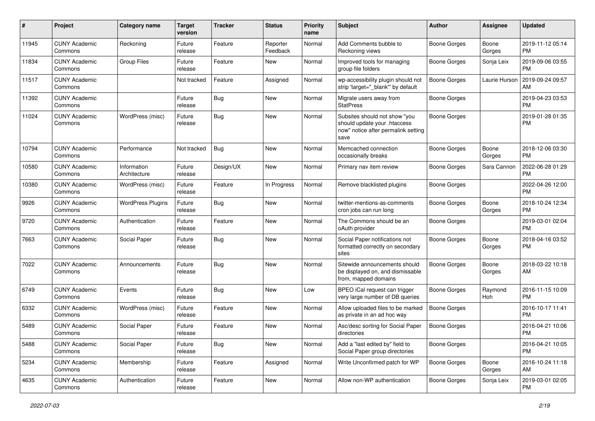| #     | Project                         | Category name               | <b>Target</b><br>version | Tracker    | <b>Status</b>        | <b>Priority</b><br>name | Subject                                                                                                      | Author              | <b>Assignee</b> | <b>Updated</b>                |
|-------|---------------------------------|-----------------------------|--------------------------|------------|----------------------|-------------------------|--------------------------------------------------------------------------------------------------------------|---------------------|-----------------|-------------------------------|
| 11945 | <b>CUNY Academic</b><br>Commons | Reckoning                   | Future<br>release        | Feature    | Reporter<br>Feedback | Normal                  | Add Comments bubble to<br>Reckoning views                                                                    | Boone Gorges        | Boone<br>Gorges | 2019-11-12 05:14<br><b>PM</b> |
| 11834 | <b>CUNY Academic</b><br>Commons | <b>Group Files</b>          | Future<br>release        | Feature    | New                  | Normal                  | Improved tools for managing<br>group file folders                                                            | <b>Boone Gorges</b> | Sonja Leix      | 2019-09-06 03:55<br><b>PM</b> |
| 11517 | <b>CUNY Academic</b><br>Commons |                             | Not tracked              | Feature    | Assigned             | Normal                  | wp-accessibility plugin should not<br>strip 'target=" blank" by default                                      | Boone Gorges        | Laurie Hurson   | 2019-09-24 09:57<br>AM        |
| 11392 | <b>CUNY Academic</b><br>Commons |                             | Future<br>release        | Bug        | New                  | Normal                  | Migrate users away from<br><b>StatPress</b>                                                                  | <b>Boone Gorges</b> |                 | 2019-04-23 03:53<br><b>PM</b> |
| 11024 | <b>CUNY Academic</b><br>Commons | WordPress (misc)            | Future<br>release        | <b>Bug</b> | New                  | Normal                  | Subsites should not show "you<br>should update your .htaccess<br>now" notice after permalink setting<br>save | Boone Gorges        |                 | 2019-01-28 01:35<br><b>PM</b> |
| 10794 | <b>CUNY Academic</b><br>Commons | Performance                 | Not tracked              | Bug        | New                  | Normal                  | Memcached connection<br>occasionally breaks                                                                  | <b>Boone Gorges</b> | Boone<br>Gorges | 2018-12-06 03:30<br><b>PM</b> |
| 10580 | <b>CUNY Academic</b><br>Commons | Information<br>Architecture | Future<br>release        | Design/UX  | New                  | Normal                  | Primary nav item review                                                                                      | <b>Boone Gorges</b> | Sara Cannon     | 2022-06-28 01:29<br><b>PM</b> |
| 10380 | <b>CUNY Academic</b><br>Commons | WordPress (misc)            | Future<br>release        | Feature    | In Progress          | Normal                  | Remove blacklisted plugins                                                                                   | <b>Boone Gorges</b> |                 | 2022-04-26 12:00<br><b>PM</b> |
| 9926  | <b>CUNY Academic</b><br>Commons | <b>WordPress Plugins</b>    | Future<br>release        | Bug        | <b>New</b>           | Normal                  | twitter-mentions-as-comments<br>cron jobs can run long                                                       | <b>Boone Gorges</b> | Boone<br>Gorges | 2018-10-24 12:34<br><b>PM</b> |
| 9720  | <b>CUNY Academic</b><br>Commons | Authentication              | Future<br>release        | Feature    | <b>New</b>           | Normal                  | The Commons should be an<br>oAuth provider                                                                   | <b>Boone Gorges</b> |                 | 2019-03-01 02:04<br><b>PM</b> |
| 7663  | <b>CUNY Academic</b><br>Commons | Social Paper                | Future<br>release        | Bug        | New                  | Normal                  | Social Paper notifications not<br>formatted correctly on secondary<br>sites                                  | <b>Boone Gorges</b> | Boone<br>Gorges | 2018-04-16 03:52<br><b>PM</b> |
| 7022  | <b>CUNY Academic</b><br>Commons | Announcements               | Future<br>release        | <b>Bug</b> | <b>New</b>           | Normal                  | Sitewide announcements should<br>be displayed on, and dismissable<br>from, mapped domains                    | <b>Boone Gorges</b> | Boone<br>Gorges | 2018-03-22 10:18<br>AM        |
| 6749  | <b>CUNY Academic</b><br>Commons | Events                      | Future<br>release        | <b>Bug</b> | New                  | Low                     | BPEO iCal request can trigger<br>very large number of DB queries                                             | <b>Boone Gorges</b> | Raymond<br>Hoh  | 2016-11-15 10:09<br><b>PM</b> |
| 6332  | <b>CUNY Academic</b><br>Commons | WordPress (misc)            | Future<br>release        | Feature    | New                  | Normal                  | Allow uploaded files to be marked<br>as private in an ad hoc way                                             | <b>Boone Gorges</b> |                 | 2016-10-17 11:41<br><b>PM</b> |
| 5489  | <b>CUNY Academic</b><br>Commons | Social Paper                | Future<br>release        | Feature    | <b>New</b>           | Normal                  | Asc/desc sorting for Social Paper<br>directories                                                             | <b>Boone Gorges</b> |                 | 2016-04-21 10:06<br><b>PM</b> |
| 5488  | <b>CUNY Academic</b><br>Commons | Social Paper                | Future<br>release        | <b>Bug</b> | New                  | Normal                  | Add a "last edited by" field to<br>Social Paper group directories                                            | <b>Boone Gorges</b> |                 | 2016-04-21 10:05<br>PM.       |
| 5234  | <b>CUNY Academic</b><br>Commons | Membership                  | Future<br>release        | Feature    | Assigned             | Normal                  | Write Unconfirmed patch for WP                                                                               | Boone Gorges        | Boone<br>Gorges | 2016-10-24 11:18<br>AM        |
| 4635  | <b>CUNY Academic</b><br>Commons | Authentication              | Future<br>release        | Feature    | New                  | Normal                  | Allow non-WP authentication                                                                                  | <b>Boone Gorges</b> | Sonja Leix      | 2019-03-01 02:05<br><b>PM</b> |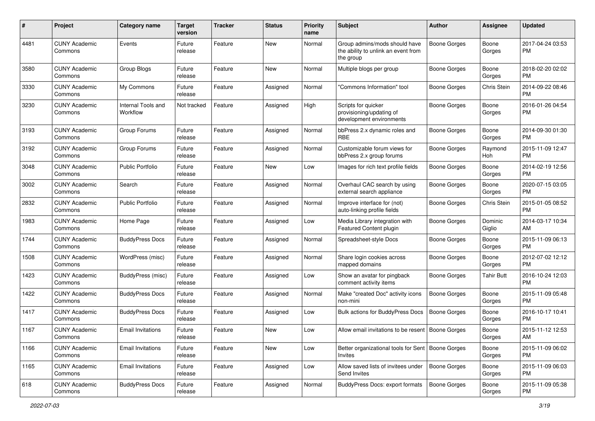| #    | Project                         | Category name                  | <b>Target</b><br>version | <b>Tracker</b> | <b>Status</b> | Priority<br>name | <b>Subject</b>                                                                    | Author              | <b>Assignee</b>   | <b>Updated</b>                |
|------|---------------------------------|--------------------------------|--------------------------|----------------|---------------|------------------|-----------------------------------------------------------------------------------|---------------------|-------------------|-------------------------------|
| 4481 | <b>CUNY Academic</b><br>Commons | Events                         | Future<br>release        | Feature        | <b>New</b>    | Normal           | Group admins/mods should have<br>the ability to unlink an event from<br>the group | <b>Boone Gorges</b> | Boone<br>Gorges   | 2017-04-24 03:53<br><b>PM</b> |
| 3580 | <b>CUNY Academic</b><br>Commons | Group Blogs                    | Future<br>release        | Feature        | <b>New</b>    | Normal           | Multiple blogs per group                                                          | <b>Boone Gorges</b> | Boone<br>Gorges   | 2018-02-20 02:02<br><b>PM</b> |
| 3330 | <b>CUNY Academic</b><br>Commons | My Commons                     | Future<br>release        | Feature        | Assigned      | Normal           | "Commons Information" tool                                                        | <b>Boone Gorges</b> | Chris Stein       | 2014-09-22 08:46<br><b>PM</b> |
| 3230 | <b>CUNY Academic</b><br>Commons | Internal Tools and<br>Workflow | Not tracked              | Feature        | Assigned      | High             | Scripts for quicker<br>provisioning/updating of<br>development environments       | Boone Gorges        | Boone<br>Gorges   | 2016-01-26 04:54<br><b>PM</b> |
| 3193 | <b>CUNY Academic</b><br>Commons | Group Forums                   | Future<br>release        | Feature        | Assigned      | Normal           | bbPress 2.x dynamic roles and<br><b>RBE</b>                                       | <b>Boone Gorges</b> | Boone<br>Gorges   | 2014-09-30 01:30<br><b>PM</b> |
| 3192 | <b>CUNY Academic</b><br>Commons | Group Forums                   | Future<br>release        | Feature        | Assigned      | Normal           | Customizable forum views for<br>bbPress 2.x group forums                          | Boone Gorges        | Raymond<br>Hoh    | 2015-11-09 12:47<br><b>PM</b> |
| 3048 | <b>CUNY Academic</b><br>Commons | Public Portfolio               | Future<br>release        | Feature        | New           | Low              | Images for rich text profile fields                                               | Boone Gorges        | Boone<br>Gorges   | 2014-02-19 12:56<br><b>PM</b> |
| 3002 | <b>CUNY Academic</b><br>Commons | Search                         | Future<br>release        | Feature        | Assigned      | Normal           | Overhaul CAC search by using<br>external search appliance                         | <b>Boone Gorges</b> | Boone<br>Gorges   | 2020-07-15 03:05<br><b>PM</b> |
| 2832 | <b>CUNY Academic</b><br>Commons | Public Portfolio               | Future<br>release        | Feature        | Assigned      | Normal           | Improve interface for (not)<br>auto-linking profile fields                        | <b>Boone Gorges</b> | Chris Stein       | 2015-01-05 08:52<br><b>PM</b> |
| 1983 | <b>CUNY Academic</b><br>Commons | Home Page                      | Future<br>release        | Feature        | Assigned      | Low              | Media Library integration with<br>Featured Content plugin                         | Boone Gorges        | Dominic<br>Giglio | 2014-03-17 10:34<br>AM        |
| 1744 | <b>CUNY Academic</b><br>Commons | <b>BuddyPress Docs</b>         | Future<br>release        | Feature        | Assigned      | Normal           | Spreadsheet-style Docs                                                            | <b>Boone Gorges</b> | Boone<br>Gorges   | 2015-11-09 06:13<br><b>PM</b> |
| 1508 | <b>CUNY Academic</b><br>Commons | WordPress (misc)               | Future<br>release        | Feature        | Assigned      | Normal           | Share login cookies across<br>mapped domains                                      | Boone Gorges        | Boone<br>Gorges   | 2012-07-02 12:12<br><b>PM</b> |
| 1423 | <b>CUNY Academic</b><br>Commons | <b>BuddyPress</b> (misc)       | Future<br>release        | Feature        | Assigned      | Low              | Show an avatar for pingback<br>comment activity items                             | Boone Gorges        | <b>Tahir Butt</b> | 2016-10-24 12:03<br><b>PM</b> |
| 1422 | <b>CUNY Academic</b><br>Commons | <b>BuddyPress Docs</b>         | Future<br>release        | Feature        | Assigned      | Normal           | Make "created Doc" activity icons<br>non-mini                                     | <b>Boone Gorges</b> | Boone<br>Gorges   | 2015-11-09 05:48<br><b>PM</b> |
| 1417 | <b>CUNY Academic</b><br>Commons | <b>BuddyPress Docs</b>         | Future<br>release        | Feature        | Assigned      | Low              | <b>Bulk actions for BuddyPress Docs</b>                                           | <b>Boone Gorges</b> | Boone<br>Gorges   | 2016-10-17 10:41<br><b>PM</b> |
| 1167 | <b>CUNY Academic</b><br>Commons | Email Invitations              | Future<br>release        | Feature        | New           | Low              | Allow email invitations to be resent   Boone Gorges                               |                     | Boone<br>Gorges   | 2015-11-12 12:53<br>AM        |
| 1166 | <b>CUNY Academic</b><br>Commons | <b>Email Invitations</b>       | Future<br>release        | Feature        | New           | Low              | Better organizational tools for Sent   Boone Gorges<br>Invites                    |                     | Boone<br>Gorges   | 2015-11-09 06:02<br>PM        |
| 1165 | <b>CUNY Academic</b><br>Commons | <b>Email Invitations</b>       | Future<br>release        | Feature        | Assigned      | Low              | Allow saved lists of invitees under<br>Send Invites                               | Boone Gorges        | Boone<br>Gorges   | 2015-11-09 06:03<br><b>PM</b> |
| 618  | <b>CUNY Academic</b><br>Commons | <b>BuddyPress Docs</b>         | Future<br>release        | Feature        | Assigned      | Normal           | BuddyPress Docs: export formats                                                   | Boone Gorges        | Boone<br>Gorges   | 2015-11-09 05:38<br><b>PM</b> |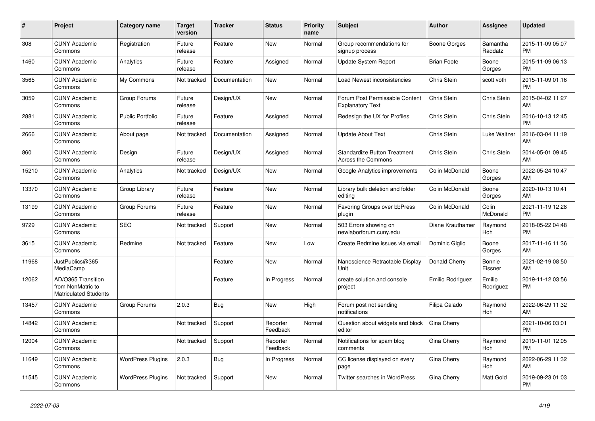| #     | <b>Project</b>                                                          | Category name            | <b>Target</b><br>version | <b>Tracker</b> | <b>Status</b>        | <b>Priority</b><br>name | <b>Subject</b>                                                   | <b>Author</b>      | Assignee            | <b>Updated</b>                |
|-------|-------------------------------------------------------------------------|--------------------------|--------------------------|----------------|----------------------|-------------------------|------------------------------------------------------------------|--------------------|---------------------|-------------------------------|
| 308   | <b>CUNY Academic</b><br>Commons                                         | Registration             | Future<br>release        | Feature        | <b>New</b>           | Normal                  | Group recommendations for<br>signup process                      | Boone Gorges       | Samantha<br>Raddatz | 2015-11-09 05:07<br><b>PM</b> |
| 1460  | <b>CUNY Academic</b><br>Commons                                         | Analytics                | Future<br>release        | Feature        | Assigned             | Normal                  | <b>Update System Report</b>                                      | <b>Brian Foote</b> | Boone<br>Gorges     | 2015-11-09 06:13<br><b>PM</b> |
| 3565  | <b>CUNY Academic</b><br>Commons                                         | My Commons               | Not tracked              | Documentation  | New                  | Normal                  | Load Newest inconsistencies                                      | Chris Stein        | scott voth          | 2015-11-09 01:16<br><b>PM</b> |
| 3059  | <b>CUNY Academic</b><br>Commons                                         | Group Forums             | Future<br>release        | Design/UX      | <b>New</b>           | Normal                  | Forum Post Permissable Content<br><b>Explanatory Text</b>        | Chris Stein        | Chris Stein         | 2015-04-02 11:27<br>AM        |
| 2881  | <b>CUNY Academic</b><br>Commons                                         | <b>Public Portfolio</b>  | Future<br>release        | Feature        | Assigned             | Normal                  | Redesign the UX for Profiles                                     | Chris Stein        | Chris Stein         | 2016-10-13 12:45<br><b>PM</b> |
| 2666  | <b>CUNY Academic</b><br>Commons                                         | About page               | Not tracked              | Documentation  | Assigned             | Normal                  | <b>Update About Text</b>                                         | Chris Stein        | Luke Waltzer        | 2016-03-04 11:19<br>AM        |
| 860   | <b>CUNY Academic</b><br>Commons                                         | Design                   | Future<br>release        | Design/UX      | Assigned             | Normal                  | <b>Standardize Button Treatment</b><br><b>Across the Commons</b> | Chris Stein        | Chris Stein         | 2014-05-01 09:45<br>AM        |
| 15210 | <b>CUNY Academic</b><br>Commons                                         | Analytics                | Not tracked              | Design/UX      | <b>New</b>           | Normal                  | Google Analytics improvements                                    | Colin McDonald     | Boone<br>Gorges     | 2022-05-24 10:47<br>AM        |
| 13370 | <b>CUNY Academic</b><br>Commons                                         | Group Library            | Future<br>release        | Feature        | <b>New</b>           | Normal                  | Library bulk deletion and folder<br>editing                      | Colin McDonald     | Boone<br>Gorges     | 2020-10-13 10:41<br>AM        |
| 13199 | <b>CUNY Academic</b><br>Commons                                         | Group Forums             | Future<br>release        | Feature        | New                  | Normal                  | Favoring Groups over bbPress<br>plugin                           | Colin McDonald     | Colin<br>McDonald   | 2021-11-19 12:28<br><b>PM</b> |
| 9729  | <b>CUNY Academic</b><br>Commons                                         | <b>SEO</b>               | Not tracked              | Support        | <b>New</b>           | Normal                  | 503 Errors showing on<br>newlaborforum.cuny.edu                  | Diane Krauthamer   | Raymond<br>Hoh      | 2018-05-22 04:48<br><b>PM</b> |
| 3615  | <b>CUNY Academic</b><br>Commons                                         | Redmine                  | Not tracked              | Feature        | New                  | Low                     | Create Redmine issues via email                                  | Dominic Giglio     | Boone<br>Gorges     | 2017-11-16 11:36<br>AM        |
| 11968 | JustPublics@365<br>MediaCamp                                            |                          |                          | Feature        | New                  | Normal                  | Nanoscience Retractable Display<br>Unit                          | Donald Cherry      | Bonnie<br>Eissner   | 2021-02-19 08:50<br>AM        |
| 12062 | AD/O365 Transition<br>from NonMatric to<br><b>Matriculated Students</b> |                          |                          | Feature        | In Progress          | Normal                  | create solution and console<br>project                           | Emilio Rodriguez   | Emilio<br>Rodriguez | 2019-11-12 03:56<br><b>PM</b> |
| 13457 | <b>CUNY Academic</b><br>Commons                                         | Group Forums             | 2.0.3                    | Bug            | <b>New</b>           | High                    | Forum post not sending<br>notifications                          | Filipa Calado      | Raymond<br>Hoh      | 2022-06-29 11:32<br>AM        |
| 14842 | <b>CUNY Academic</b><br>Commons                                         |                          | Not tracked              | Support        | Reporter<br>Feedback | Normal                  | Question about widgets and block<br>editor                       | Gina Cherry        |                     | 2021-10-06 03:01<br><b>PM</b> |
| 12004 | <b>CUNY Academic</b><br>Commons                                         |                          | Not tracked              | Support        | Reporter<br>Feedback | Normal                  | Notifications for spam blog<br>comments                          | Gina Cherry        | Raymond<br>Hoh      | 2019-11-01 12:05<br><b>PM</b> |
| 11649 | <b>CUNY Academic</b><br>Commons                                         | <b>WordPress Plugins</b> | 2.0.3                    | Bug            | In Progress          | Normal                  | CC license displayed on every<br>page                            | Gina Cherry        | Raymond<br>Hoh      | 2022-06-29 11:32<br>AM        |
| 11545 | <b>CUNY Academic</b><br>Commons                                         | <b>WordPress Plugins</b> | Not tracked              | Support        | <b>New</b>           | Normal                  | <b>Twitter searches in WordPress</b>                             | Gina Cherry        | Matt Gold           | 2019-09-23 01:03<br><b>PM</b> |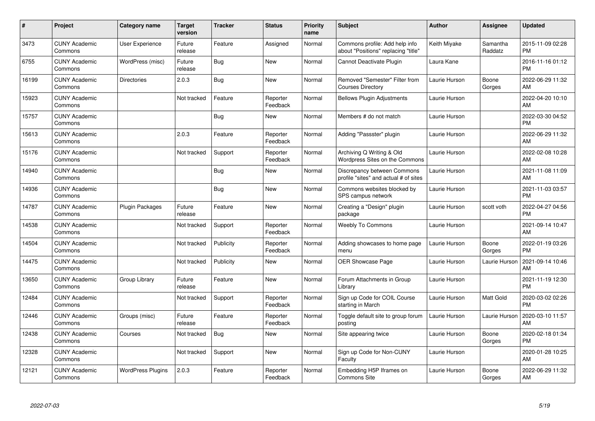| #     | Project                         | Category name            | <b>Target</b><br>version | <b>Tracker</b> | <b>Status</b>        | <b>Priority</b><br>name | <b>Subject</b>                                                        | Author        | <b>Assignee</b>     | <b>Updated</b>                |
|-------|---------------------------------|--------------------------|--------------------------|----------------|----------------------|-------------------------|-----------------------------------------------------------------------|---------------|---------------------|-------------------------------|
| 3473  | <b>CUNY Academic</b><br>Commons | User Experience          | Future<br>release        | Feature        | Assigned             | Normal                  | Commons profile: Add help info<br>about "Positions" replacing "title" | Keith Miyake  | Samantha<br>Raddatz | 2015-11-09 02:28<br><b>PM</b> |
| 6755  | <b>CUNY Academic</b><br>Commons | WordPress (misc)         | Future<br>release        | Bug            | <b>New</b>           | Normal                  | Cannot Deactivate Plugin                                              | Laura Kane    |                     | 2016-11-16 01:12<br><b>PM</b> |
| 16199 | <b>CUNY Academic</b><br>Commons | <b>Directories</b>       | 2.0.3                    | <b>Bug</b>     | <b>New</b>           | Normal                  | Removed "Semester" Filter from<br><b>Courses Directory</b>            | Laurie Hurson | Boone<br>Gorges     | 2022-06-29 11:32<br>AM        |
| 15923 | <b>CUNY Academic</b><br>Commons |                          | Not tracked              | Feature        | Reporter<br>Feedback | Normal                  | <b>Bellows Plugin Adjustments</b>                                     | Laurie Hurson |                     | 2022-04-20 10:10<br>AM        |
| 15757 | <b>CUNY Academic</b><br>Commons |                          |                          | Bug            | <b>New</b>           | Normal                  | Members # do not match                                                | Laurie Hurson |                     | 2022-03-30 04:52<br><b>PM</b> |
| 15613 | <b>CUNY Academic</b><br>Commons |                          | 2.0.3                    | Feature        | Reporter<br>Feedback | Normal                  | Adding "Passster" plugin                                              | Laurie Hurson |                     | 2022-06-29 11:32<br>AM        |
| 15176 | <b>CUNY Academic</b><br>Commons |                          | Not tracked              | Support        | Reporter<br>Feedback | Normal                  | Archiving Q Writing & Old<br>Wordpress Sites on the Commons           | Laurie Hurson |                     | 2022-02-08 10:28<br>AM        |
| 14940 | <b>CUNY Academic</b><br>Commons |                          |                          | <b>Bug</b>     | <b>New</b>           | Normal                  | Discrepancy between Commons<br>profile "sites" and actual # of sites  | Laurie Hurson |                     | 2021-11-08 11:09<br>AM        |
| 14936 | <b>CUNY Academic</b><br>Commons |                          |                          | Bug            | <b>New</b>           | Normal                  | Commons websites blocked by<br>SPS campus network                     | Laurie Hurson |                     | 2021-11-03 03:57<br><b>PM</b> |
| 14787 | <b>CUNY Academic</b><br>Commons | <b>Plugin Packages</b>   | Future<br>release        | Feature        | <b>New</b>           | Normal                  | Creating a "Design" plugin<br>package                                 | Laurie Hurson | scott voth          | 2022-04-27 04:56<br><b>PM</b> |
| 14538 | <b>CUNY Academic</b><br>Commons |                          | Not tracked              | Support        | Reporter<br>Feedback | Normal                  | <b>Weebly To Commons</b>                                              | Laurie Hurson |                     | 2021-09-14 10:47<br>AM        |
| 14504 | <b>CUNY Academic</b><br>Commons |                          | Not tracked              | Publicity      | Reporter<br>Feedback | Normal                  | Adding showcases to home page<br>menu                                 | Laurie Hurson | Boone<br>Gorges     | 2022-01-19 03:26<br><b>PM</b> |
| 14475 | <b>CUNY Academic</b><br>Commons |                          | Not tracked              | Publicity      | <b>New</b>           | Normal                  | OER Showcase Page                                                     | Laurie Hurson | Laurie Hurson       | 2021-09-14 10:46<br>AM        |
| 13650 | <b>CUNY Academic</b><br>Commons | Group Library            | Future<br>release        | Feature        | <b>New</b>           | Normal                  | Forum Attachments in Group<br>Library                                 | Laurie Hurson |                     | 2021-11-19 12:30<br><b>PM</b> |
| 12484 | <b>CUNY Academic</b><br>Commons |                          | Not tracked              | Support        | Reporter<br>Feedback | Normal                  | Sign up Code for COIL Course<br>starting in March                     | Laurie Hurson | Matt Gold           | 2020-03-02 02:26<br><b>PM</b> |
| 12446 | <b>CUNY Academic</b><br>Commons | Groups (misc)            | Future<br>release        | Feature        | Reporter<br>Feedback | Normal                  | Toggle default site to group forum<br>posting                         | Laurie Hurson | Laurie Hurson       | 2020-03-10 11:57<br>AM        |
| 12438 | <b>CUNY Academic</b><br>Commons | Courses                  | Not tracked              | Bug            | New                  | Normal                  | Site appearing twice                                                  | Laurie Hurson | Boone<br>Gorges     | 2020-02-18 01:34<br><b>PM</b> |
| 12328 | <b>CUNY Academic</b><br>Commons |                          | Not tracked              | Support        | <b>New</b>           | Normal                  | Sign up Code for Non-CUNY<br>Faculty                                  | Laurie Hurson |                     | 2020-01-28 10:25<br>AM        |
| 12121 | <b>CUNY Academic</b><br>Commons | <b>WordPress Plugins</b> | 2.0.3                    | Feature        | Reporter<br>Feedback | Normal                  | Embedding H5P Iframes on<br><b>Commons Site</b>                       | Laurie Hurson | Boone<br>Gorges     | 2022-06-29 11:32<br>AM        |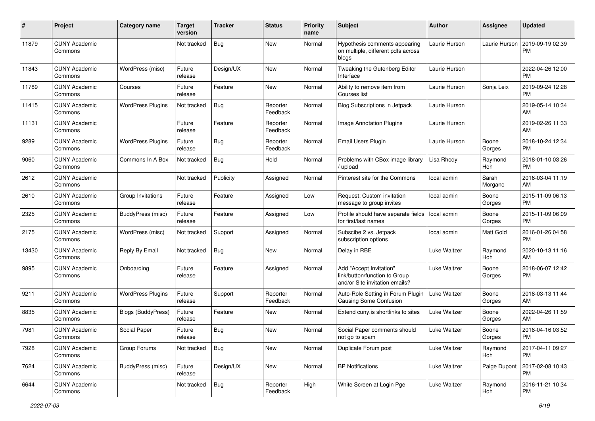| #     | Project                         | <b>Category name</b>      | <b>Target</b><br>version | <b>Tracker</b> | <b>Status</b>        | Priority<br>name | <b>Subject</b>                                                                             | <b>Author</b> | <b>Assignee</b>  | <b>Updated</b>                |
|-------|---------------------------------|---------------------------|--------------------------|----------------|----------------------|------------------|--------------------------------------------------------------------------------------------|---------------|------------------|-------------------------------|
| 11879 | <b>CUNY Academic</b><br>Commons |                           | Not tracked              | Bug            | New                  | Normal           | Hypothesis comments appearing<br>on multiple, different pdfs across<br>blogs               | Laurie Hurson | Laurie Hurson    | 2019-09-19 02:39<br>PM.       |
| 11843 | <b>CUNY Academic</b><br>Commons | WordPress (misc)          | Future<br>release        | Design/UX      | New                  | Normal           | Tweaking the Gutenberg Editor<br>Interface                                                 | Laurie Hurson |                  | 2022-04-26 12:00<br>PM.       |
| 11789 | <b>CUNY Academic</b><br>Commons | Courses                   | Future<br>release        | Feature        | New                  | Normal           | Ability to remove item from<br>Courses list                                                | Laurie Hurson | Sonja Leix       | 2019-09-24 12:28<br><b>PM</b> |
| 11415 | <b>CUNY Academic</b><br>Commons | <b>WordPress Plugins</b>  | Not tracked              | Bug            | Reporter<br>Feedback | Normal           | Blog Subscriptions in Jetpack                                                              | Laurie Hurson |                  | 2019-05-14 10:34<br>AM.       |
| 11131 | <b>CUNY Academic</b><br>Commons |                           | Future<br>release        | Feature        | Reporter<br>Feedback | Normal           | Image Annotation Plugins                                                                   | Laurie Hurson |                  | 2019-02-26 11:33<br>AM        |
| 9289  | <b>CUNY Academic</b><br>Commons | <b>WordPress Plugins</b>  | Future<br>release        | Bug            | Reporter<br>Feedback | Normal           | Email Users Plugin                                                                         | Laurie Hurson | Boone<br>Gorges  | 2018-10-24 12:34<br><b>PM</b> |
| 9060  | <b>CUNY Academic</b><br>Commons | Commons In A Box          | Not tracked              | Bug            | Hold                 | Normal           | Problems with CBox image library<br>upload                                                 | Lisa Rhody    | Raymond<br>Hoh   | 2018-01-10 03:26<br><b>PM</b> |
| 2612  | <b>CUNY Academic</b><br>Commons |                           | Not tracked              | Publicity      | Assigned             | Normal           | Pinterest site for the Commons                                                             | local admin   | Sarah<br>Morgano | 2016-03-04 11:19<br>AM.       |
| 2610  | <b>CUNY Academic</b><br>Commons | Group Invitations         | Future<br>release        | Feature        | Assigned             | Low              | Request: Custom invitation<br>message to group invites                                     | local admin   | Boone<br>Gorges  | 2015-11-09 06:13<br>PM.       |
| 2325  | <b>CUNY Academic</b><br>Commons | BuddyPress (misc)         | Future<br>release        | Feature        | Assigned             | Low              | Profile should have separate fields<br>for first/last names                                | local admin   | Boone<br>Gorges  | 2015-11-09 06:09<br><b>PM</b> |
| 2175  | <b>CUNY Academic</b><br>Commons | WordPress (misc)          | Not tracked              | Support        | Assigned             | Normal           | Subscibe 2 vs. Jetpack<br>subscription options                                             | local admin   | Matt Gold        | 2016-01-26 04:58<br><b>PM</b> |
| 13430 | <b>CUNY Academic</b><br>Commons | Reply By Email            | Not tracked              | Bug            | New                  | Normal           | Delay in RBE                                                                               | Luke Waltzer  | Raymond<br>Hoh   | 2020-10-13 11:16<br>AM        |
| 9895  | <b>CUNY Academic</b><br>Commons | Onboarding                | Future<br>release        | Feature        | Assigned             | Normal           | Add "Accept Invitation"<br>link/button/function to Group<br>and/or Site invitation emails? | Luke Waltzer  | Boone<br>Gorges  | 2018-06-07 12:42<br><b>PM</b> |
| 9211  | <b>CUNY Academic</b><br>Commons | <b>WordPress Plugins</b>  | Future<br>release        | Support        | Reporter<br>Feedback | Normal           | Auto-Role Setting in Forum Plugin<br>Causing Some Confusion                                | Luke Waltzer  | Boone<br>Gorges  | 2018-03-13 11:44<br>AM        |
| 8835  | <b>CUNY Academic</b><br>Commons | <b>Blogs (BuddyPress)</b> | Future<br>release        | Feature        | New                  | Normal           | Extend cuny is shortlinks to sites                                                         | Luke Waltzer  | Boone<br>Gorges  | 2022-04-26 11:59<br>AM.       |
| 7981  | <b>CUNY Academic</b><br>Commons | Social Paper              | Future<br>release        | Bug            | New                  | Normal           | Social Paper comments should<br>not go to spam                                             | Luke Waltzer  | Boone<br>Gorges  | 2018-04-16 03:52<br>PM        |
| 7928  | <b>CUNY Academic</b><br>Commons | Group Forums              | Not tracked              | <b>Bug</b>     | New                  | Normal           | Duplicate Forum post                                                                       | Luke Waltzer  | Raymond<br>Hoh   | 2017-04-11 09:27<br>PM        |
| 7624  | <b>CUNY Academic</b><br>Commons | BuddyPress (misc)         | Future<br>release        | Design/UX      | New                  | Normal           | <b>BP Notifications</b>                                                                    | Luke Waltzer  | Paige Dupont     | 2017-02-08 10:43<br><b>PM</b> |
| 6644  | <b>CUNY Academic</b><br>Commons |                           | Not tracked              | Bug            | Reporter<br>Feedback | High             | White Screen at Login Pge                                                                  | Luke Waltzer  | Raymond<br>Hoh   | 2016-11-21 10:34<br><b>PM</b> |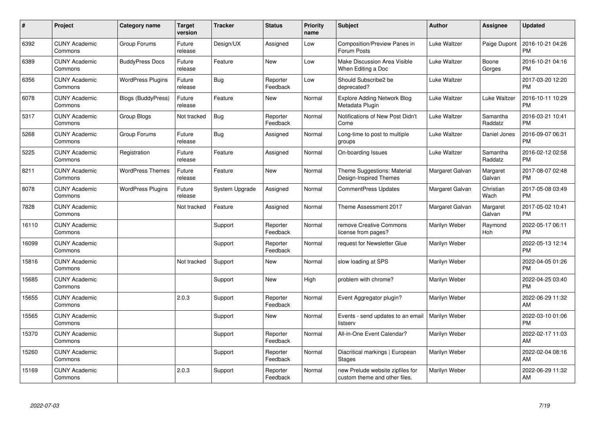| #     | Project                         | <b>Category name</b>      | <b>Target</b><br>version | <b>Tracker</b> | <b>Status</b>        | <b>Priority</b><br>name | <b>Subject</b>                                                    | <b>Author</b>   | Assignee            | <b>Updated</b>                |
|-------|---------------------------------|---------------------------|--------------------------|----------------|----------------------|-------------------------|-------------------------------------------------------------------|-----------------|---------------------|-------------------------------|
| 6392  | <b>CUNY Academic</b><br>Commons | Group Forums              | Future<br>release        | Design/UX      | Assigned             | Low                     | <b>Composition/Preview Panes in</b><br>Forum Posts                | Luke Waltzer    | Paige Dupont        | 2016-10-21 04:26<br><b>PM</b> |
| 6389  | <b>CUNY Academic</b><br>Commons | <b>BuddyPress Docs</b>    | Future<br>release        | Feature        | New                  | Low                     | Make Discussion Area Visible<br>When Editing a Doc                | Luke Waltzer    | Boone<br>Gorges     | 2016-10-21 04:16<br><b>PM</b> |
| 6356  | <b>CUNY Academic</b><br>Commons | <b>WordPress Plugins</b>  | Future<br>release        | Bug            | Reporter<br>Feedback | Low                     | Should Subscribe2 be<br>deprecated?                               | Luke Waltzer    |                     | 2017-03-20 12:20<br><b>PM</b> |
| 6078  | <b>CUNY Academic</b><br>Commons | <b>Blogs (BuddyPress)</b> | Future<br>release        | Feature        | New                  | Normal                  | <b>Explore Adding Network Blog</b><br>Metadata Plugin             | Luke Waltzer    | Luke Waltzer        | 2016-10-11 10:29<br><b>PM</b> |
| 5317  | <b>CUNY Academic</b><br>Commons | Group Blogs               | Not tracked              | <b>Bug</b>     | Reporter<br>Feedback | Normal                  | Notifications of New Post Didn't<br>Come                          | Luke Waltzer    | Samantha<br>Raddatz | 2016-03-21 10:41<br><b>PM</b> |
| 5268  | <b>CUNY Academic</b><br>Commons | Group Forums              | Future<br>release        | Bug            | Assigned             | Normal                  | Long-time to post to multiple<br>groups                           | Luke Waltzer    | Daniel Jones        | 2016-09-07 06:31<br><b>PM</b> |
| 5225  | <b>CUNY Academic</b><br>Commons | Registration              | Future<br>release        | Feature        | Assigned             | Normal                  | On-boarding Issues                                                | Luke Waltzer    | Samantha<br>Raddatz | 2016-02-12 02:58<br><b>PM</b> |
| 8211  | <b>CUNY Academic</b><br>Commons | <b>WordPress Themes</b>   | Future<br>release        | Feature        | <b>New</b>           | Normal                  | Theme Suggestions: Material<br>Design-Inspired Themes             | Margaret Galvan | Margaret<br>Galvan  | 2017-08-07 02:48<br><b>PM</b> |
| 8078  | <b>CUNY Academic</b><br>Commons | <b>WordPress Plugins</b>  | Future<br>release        | System Upgrade | Assigned             | Normal                  | <b>CommentPress Updates</b>                                       | Margaret Galvan | Christian<br>Wach   | 2017-05-08 03:49<br><b>PM</b> |
| 7828  | <b>CUNY Academic</b><br>Commons |                           | Not tracked              | Feature        | Assigned             | Normal                  | Theme Assessment 2017                                             | Margaret Galvan | Margaret<br>Galvan  | 2017-05-02 10:41<br><b>PM</b> |
| 16110 | <b>CUNY Academic</b><br>Commons |                           |                          | Support        | Reporter<br>Feedback | Normal                  | remove Creative Commons<br>license from pages?                    | Marilyn Weber   | Raymond<br>Hoh      | 2022-05-17 06:11<br><b>PM</b> |
| 16099 | <b>CUNY Academic</b><br>Commons |                           |                          | Support        | Reporter<br>Feedback | Normal                  | request for Newsletter Glue                                       | Marilyn Weber   |                     | 2022-05-13 12:14<br><b>PM</b> |
| 15816 | <b>CUNY Academic</b><br>Commons |                           | Not tracked              | Support        | New                  | Normal                  | slow loading at SPS                                               | Marilyn Weber   |                     | 2022-04-05 01:26<br><b>PM</b> |
| 15685 | <b>CUNY Academic</b><br>Commons |                           |                          | Support        | New                  | High                    | problem with chrome?                                              | Marilyn Weber   |                     | 2022-04-25 03:40<br><b>PM</b> |
| 15655 | <b>CUNY Academic</b><br>Commons |                           | 2.0.3                    | Support        | Reporter<br>Feedback | Normal                  | Event Aggregator plugin?                                          | Marilyn Weber   |                     | 2022-06-29 11:32<br>AM        |
| 15565 | <b>CUNY Academic</b><br>Commons |                           |                          | Support        | New                  | Normal                  | Events - send updates to an email<br>listserv                     | Marilyn Weber   |                     | 2022-03-10 01:06<br><b>PM</b> |
| 15370 | <b>CUNY Academic</b><br>Commons |                           |                          | Support        | Reporter<br>Feedback | Normal                  | All-in-One Event Calendar?                                        | Marilyn Weber   |                     | 2022-02-17 11:03<br>AM        |
| 15260 | <b>CUNY Academic</b><br>Commons |                           |                          | Support        | Reporter<br>Feedback | Normal                  | Diacritical markings   European<br><b>Stages</b>                  | Marilyn Weber   |                     | 2022-02-04 08:16<br>AM        |
| 15169 | <b>CUNY Academic</b><br>Commons |                           | 2.0.3                    | Support        | Reporter<br>Feedback | Normal                  | new Prelude website zipfiles for<br>custom theme and other files. | Marilyn Weber   |                     | 2022-06-29 11:32<br>AM        |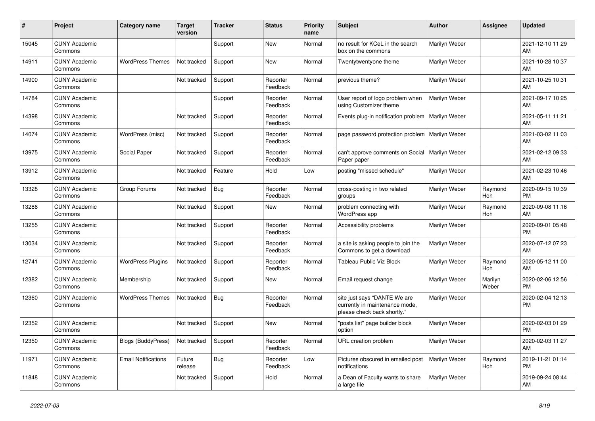| #     | Project                         | <b>Category name</b>       | <b>Target</b><br>version | <b>Tracker</b> | <b>Status</b>        | <b>Priority</b><br>name | <b>Subject</b>                                                                                | <b>Author</b> | <b>Assignee</b>  | <b>Updated</b>                |
|-------|---------------------------------|----------------------------|--------------------------|----------------|----------------------|-------------------------|-----------------------------------------------------------------------------------------------|---------------|------------------|-------------------------------|
| 15045 | <b>CUNY Academic</b><br>Commons |                            |                          | Support        | New                  | Normal                  | no result for KCeL in the search<br>box on the commons                                        | Marilyn Weber |                  | 2021-12-10 11:29<br>AM        |
| 14911 | <b>CUNY Academic</b><br>Commons | <b>WordPress Themes</b>    | Not tracked              | Support        | New                  | Normal                  | Twentytwentyone theme                                                                         | Marilyn Weber |                  | 2021-10-28 10:37<br>AM.       |
| 14900 | <b>CUNY Academic</b><br>Commons |                            | Not tracked              | Support        | Reporter<br>Feedback | Normal                  | previous theme?                                                                               | Marilyn Weber |                  | 2021-10-25 10:31<br>AM        |
| 14784 | <b>CUNY Academic</b><br>Commons |                            |                          | Support        | Reporter<br>Feedback | Normal                  | User report of logo problem when<br>using Customizer theme                                    | Marilyn Weber |                  | 2021-09-17 10:25<br><b>AM</b> |
| 14398 | <b>CUNY Academic</b><br>Commons |                            | Not tracked              | Support        | Reporter<br>Feedback | Normal                  | Events plug-in notification problem                                                           | Marilyn Weber |                  | 2021-05-11 11:21<br><b>AM</b> |
| 14074 | <b>CUNY Academic</b><br>Commons | WordPress (misc)           | Not tracked              | Support        | Reporter<br>Feedback | Normal                  | page password protection problem                                                              | Marilyn Weber |                  | 2021-03-02 11:03<br>AM        |
| 13975 | <b>CUNY Academic</b><br>Commons | Social Paper               | Not tracked              | Support        | Reporter<br>Feedback | Normal                  | can't approve comments on Social<br>Paper paper                                               | Marilyn Weber |                  | 2021-02-12 09:33<br>AM        |
| 13912 | <b>CUNY Academic</b><br>Commons |                            | Not tracked              | Feature        | Hold                 | Low                     | posting "missed schedule"                                                                     | Marilyn Weber |                  | 2021-02-23 10:46<br>AM        |
| 13328 | <b>CUNY Academic</b><br>Commons | Group Forums               | Not tracked              | Bug            | Reporter<br>Feedback | Normal                  | cross-posting in two related<br>groups                                                        | Marilyn Weber | Raymond<br>Hoh   | 2020-09-15 10:39<br><b>PM</b> |
| 13286 | <b>CUNY Academic</b><br>Commons |                            | Not tracked              | Support        | <b>New</b>           | Normal                  | problem connecting with<br><b>WordPress app</b>                                               | Marilyn Weber | Raymond<br>Hoh   | 2020-09-08 11:16<br><b>AM</b> |
| 13255 | <b>CUNY Academic</b><br>Commons |                            | Not tracked              | Support        | Reporter<br>Feedback | Normal                  | Accessibility problems                                                                        | Marilyn Weber |                  | 2020-09-01 05:48<br><b>PM</b> |
| 13034 | <b>CUNY Academic</b><br>Commons |                            | Not tracked              | Support        | Reporter<br>Feedback | Normal                  | a site is asking people to join the<br>Commons to get a download                              | Marilyn Weber |                  | 2020-07-12 07:23<br>AM        |
| 12741 | <b>CUNY Academic</b><br>Commons | <b>WordPress Plugins</b>   | Not tracked              | Support        | Reporter<br>Feedback | Normal                  | <b>Tableau Public Viz Block</b>                                                               | Marilyn Weber | Raymond<br>Hoh   | 2020-05-12 11:00<br>AM        |
| 12382 | <b>CUNY Academic</b><br>Commons | Membership                 | Not tracked              | Support        | New                  | Normal                  | Email request change                                                                          | Marilyn Weber | Marilyn<br>Weber | 2020-02-06 12:56<br><b>PM</b> |
| 12360 | <b>CUNY Academic</b><br>Commons | <b>WordPress Themes</b>    | Not tracked              | <b>Bug</b>     | Reporter<br>Feedback | Normal                  | site just says "DANTE We are<br>currently in maintenance mode,<br>please check back shortly." | Marilyn Weber |                  | 2020-02-04 12:13<br><b>PM</b> |
| 12352 | <b>CUNY Academic</b><br>Commons |                            | Not tracked              | Support        | New                  | Normal                  | "posts list" page builder block<br>option                                                     | Marilyn Weber |                  | 2020-02-03 01:29<br><b>PM</b> |
| 12350 | <b>CUNY Academic</b><br>Commons | <b>Blogs (BuddyPress)</b>  | Not tracked              | Support        | Reporter<br>Feedback | Normal                  | URL creation problem                                                                          | Marilyn Weber |                  | 2020-02-03 11:27<br>AM        |
| 11971 | <b>CUNY Academic</b><br>Commons | <b>Email Notifications</b> | Future<br>release        | Bug            | Reporter<br>Feedback | Low                     | Pictures obscured in emailed post<br>notifications                                            | Marilyn Weber | Raymond<br>Hoh   | 2019-11-21 01:14<br><b>PM</b> |
| 11848 | <b>CUNY Academic</b><br>Commons |                            | Not tracked              | Support        | Hold                 | Normal                  | a Dean of Faculty wants to share<br>a large file                                              | Marilyn Weber |                  | 2019-09-24 08:44<br>AM        |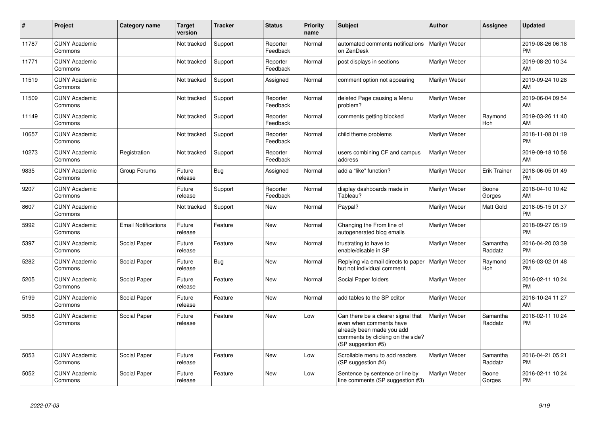| #     | Project                         | Category name              | <b>Target</b><br>version | <b>Tracker</b> | <b>Status</b>        | <b>Priority</b><br>name | <b>Subject</b>                                                                                                                                        | <b>Author</b> | Assignee            | <b>Updated</b>                |
|-------|---------------------------------|----------------------------|--------------------------|----------------|----------------------|-------------------------|-------------------------------------------------------------------------------------------------------------------------------------------------------|---------------|---------------------|-------------------------------|
| 11787 | <b>CUNY Academic</b><br>Commons |                            | Not tracked              | Support        | Reporter<br>Feedback | Normal                  | automated comments notifications<br>on ZenDesk                                                                                                        | Marilyn Weber |                     | 2019-08-26 06:18<br><b>PM</b> |
| 11771 | <b>CUNY Academic</b><br>Commons |                            | Not tracked              | Support        | Reporter<br>Feedback | Normal                  | post displays in sections                                                                                                                             | Marilyn Weber |                     | 2019-08-20 10:34<br>AM        |
| 11519 | <b>CUNY Academic</b><br>Commons |                            | Not tracked              | Support        | Assigned             | Normal                  | comment option not appearing                                                                                                                          | Marilyn Weber |                     | 2019-09-24 10:28<br>AM        |
| 11509 | <b>CUNY Academic</b><br>Commons |                            | Not tracked              | Support        | Reporter<br>Feedback | Normal                  | deleted Page causing a Menu<br>problem?                                                                                                               | Marilyn Weber |                     | 2019-06-04 09:54<br>AM        |
| 11149 | <b>CUNY Academic</b><br>Commons |                            | Not tracked              | Support        | Reporter<br>Feedback | Normal                  | comments getting blocked                                                                                                                              | Marilyn Weber | Raymond<br>Hoh      | 2019-03-26 11:40<br>AM        |
| 10657 | <b>CUNY Academic</b><br>Commons |                            | Not tracked              | Support        | Reporter<br>Feedback | Normal                  | child theme problems                                                                                                                                  | Marilyn Weber |                     | 2018-11-08 01:19<br><b>PM</b> |
| 10273 | <b>CUNY Academic</b><br>Commons | Registration               | Not tracked              | Support        | Reporter<br>Feedback | Normal                  | users combining CF and campus<br>address                                                                                                              | Marilyn Weber |                     | 2019-09-18 10:58<br>AM        |
| 9835  | <b>CUNY Academic</b><br>Commons | Group Forums               | Future<br>release        | Bug            | Assigned             | Normal                  | add a "like" function?                                                                                                                                | Marilyn Weber | <b>Erik Trainer</b> | 2018-06-05 01:49<br><b>PM</b> |
| 9207  | <b>CUNY Academic</b><br>Commons |                            | Future<br>release        | Support        | Reporter<br>Feedback | Normal                  | display dashboards made in<br>Tableau?                                                                                                                | Marilyn Weber | Boone<br>Gorges     | 2018-04-10 10:42<br>AM        |
| 8607  | <b>CUNY Academic</b><br>Commons |                            | Not tracked              | Support        | New                  | Normal                  | Paypal?                                                                                                                                               | Marilyn Weber | Matt Gold           | 2018-05-15 01:37<br><b>PM</b> |
| 5992  | <b>CUNY Academic</b><br>Commons | <b>Email Notifications</b> | Future<br>release        | Feature        | New                  | Normal                  | Changing the From line of<br>autogenerated blog emails                                                                                                | Marilyn Weber |                     | 2018-09-27 05:19<br><b>PM</b> |
| 5397  | <b>CUNY Academic</b><br>Commons | Social Paper               | Future<br>release        | Feature        | <b>New</b>           | Normal                  | frustrating to have to<br>enable/disable in SP                                                                                                        | Marilyn Weber | Samantha<br>Raddatz | 2016-04-20 03:39<br><b>PM</b> |
| 5282  | <b>CUNY Academic</b><br>Commons | Social Paper               | Future<br>release        | <b>Bug</b>     | <b>New</b>           | Normal                  | Replying via email directs to paper<br>but not individual comment.                                                                                    | Marilyn Weber | Raymond<br>Hoh      | 2016-03-02 01:48<br><b>PM</b> |
| 5205  | <b>CUNY Academic</b><br>Commons | Social Paper               | Future<br>release        | Feature        | <b>New</b>           | Normal                  | Social Paper folders                                                                                                                                  | Marilyn Weber |                     | 2016-02-11 10:24<br><b>PM</b> |
| 5199  | <b>CUNY Academic</b><br>Commons | Social Paper               | Future<br>release        | Feature        | <b>New</b>           | Normal                  | add tables to the SP editor                                                                                                                           | Marilyn Weber |                     | 2016-10-24 11:27<br>AM        |
| 5058  | <b>CUNY Academic</b><br>Commons | Social Paper               | Future<br>release        | Feature        | <b>New</b>           | Low                     | Can there be a clearer signal that<br>even when comments have<br>already been made you add<br>comments by clicking on the side?<br>(SP suggestion #5) | Marilyn Weber | Samantha<br>Raddatz | 2016-02-11 10:24<br><b>PM</b> |
| 5053  | <b>CUNY Academic</b><br>Commons | Social Paper               | Future<br>release        | Feature        | <b>New</b>           | Low                     | Scrollable menu to add readers<br>(SP suggestion #4)                                                                                                  | Marilyn Weber | Samantha<br>Raddatz | 2016-04-21 05:21<br><b>PM</b> |
| 5052  | <b>CUNY Academic</b><br>Commons | Social Paper               | Future<br>release        | Feature        | <b>New</b>           | Low                     | Sentence by sentence or line by<br>line comments (SP suggestion #3)                                                                                   | Marilyn Weber | Boone<br>Gorges     | 2016-02-11 10:24<br><b>PM</b> |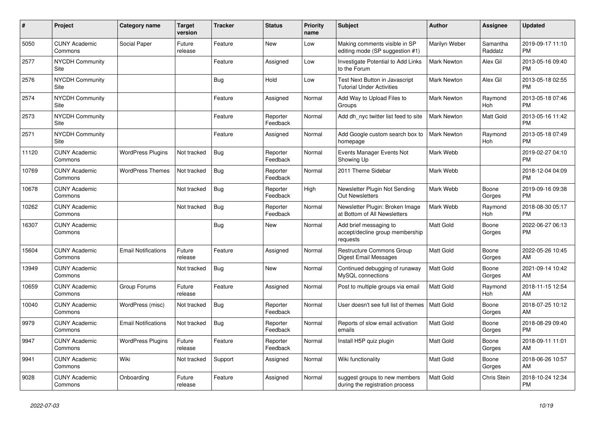| #     | Project                               | Category name              | <b>Target</b><br>version | <b>Tracker</b> | <b>Status</b>        | <b>Priority</b><br>name | <b>Subject</b>                                                        | <b>Author</b>      | Assignee            | <b>Updated</b>                |
|-------|---------------------------------------|----------------------------|--------------------------|----------------|----------------------|-------------------------|-----------------------------------------------------------------------|--------------------|---------------------|-------------------------------|
| 5050  | <b>CUNY Academic</b><br>Commons       | Social Paper               | Future<br>release        | Feature        | <b>New</b>           | Low                     | Making comments visible in SP<br>editing mode (SP suggestion #1)      | Marilyn Weber      | Samantha<br>Raddatz | 2019-09-17 11:10<br><b>PM</b> |
| 2577  | <b>NYCDH Community</b><br>Site        |                            |                          | Feature        | Assigned             | Low                     | Investigate Potential to Add Links<br>to the Forum                    | <b>Mark Newton</b> | Alex Gil            | 2013-05-16 09:40<br><b>PM</b> |
| 2576  | <b>NYCDH Community</b><br>Site        |                            |                          | Bug            | Hold                 | Low                     | Test Next Button in Javascript<br>Tutorial Under Activities           | Mark Newton        | Alex Gil            | 2013-05-18 02:55<br><b>PM</b> |
| 2574  | <b>NYCDH Community</b><br>Site        |                            |                          | Feature        | Assigned             | Normal                  | Add Way to Upload Files to<br>Groups                                  | Mark Newton        | Raymond<br>Hoh      | 2013-05-18 07:46<br><b>PM</b> |
| 2573  | <b>NYCDH Community</b><br>Site        |                            |                          | Feature        | Reporter<br>Feedback | Normal                  | Add dh nyc twitter list feed to site                                  | <b>Mark Newton</b> | Matt Gold           | 2013-05-16 11:42<br><b>PM</b> |
| 2571  | <b>NYCDH Community</b><br><b>Site</b> |                            |                          | Feature        | Assigned             | Normal                  | Add Google custom search box to<br>homepage                           | <b>Mark Newton</b> | Raymond<br>Hoh      | 2013-05-18 07:49<br><b>PM</b> |
| 11120 | <b>CUNY Academic</b><br>Commons       | <b>WordPress Plugins</b>   | Not tracked              | Bug            | Reporter<br>Feedback | Normal                  | Events Manager Events Not<br>Showing Up                               | Mark Webb          |                     | 2019-02-27 04:10<br><b>PM</b> |
| 10769 | <b>CUNY Academic</b><br>Commons       | <b>WordPress Themes</b>    | Not tracked              | Bug            | Reporter<br>Feedback | Normal                  | 2011 Theme Sidebar                                                    | Mark Webb          |                     | 2018-12-04 04:09<br><b>PM</b> |
| 10678 | <b>CUNY Academic</b><br>Commons       |                            | Not tracked              | Bug            | Reporter<br>Feedback | High                    | Newsletter Plugin Not Sending<br><b>Out Newsletters</b>               | Mark Webb          | Boone<br>Gorges     | 2019-09-16 09:38<br><b>PM</b> |
| 10262 | <b>CUNY Academic</b><br>Commons       |                            | Not tracked              | Bug            | Reporter<br>Feedback | Normal                  | Newsletter Plugin: Broken Image<br>at Bottom of All Newsletters       | Mark Webb          | Raymond<br>Hoh      | 2018-08-30 05:17<br><b>PM</b> |
| 16307 | <b>CUNY Academic</b><br>Commons       |                            |                          | Bug            | <b>New</b>           | Normal                  | Add brief messaging to<br>accept/decline group membership<br>requests | <b>Matt Gold</b>   | Boone<br>Gorges     | 2022-06-27 06:13<br><b>PM</b> |
| 15604 | <b>CUNY Academic</b><br>Commons       | <b>Email Notifications</b> | Future<br>release        | Feature        | Assigned             | Normal                  | <b>Restructure Commons Group</b><br>Digest Email Messages             | <b>Matt Gold</b>   | Boone<br>Gorges     | 2022-05-26 10:45<br>AM        |
| 13949 | <b>CUNY Academic</b><br>Commons       |                            | Not tracked              | Bug            | <b>New</b>           | Normal                  | Continued debugging of runaway<br>MySQL connections                   | <b>Matt Gold</b>   | Boone<br>Gorges     | 2021-09-14 10:42<br>AM        |
| 10659 | <b>CUNY Academic</b><br>Commons       | Group Forums               | Future<br>release        | Feature        | Assigned             | Normal                  | Post to multiple groups via email                                     | <b>Matt Gold</b>   | Raymond<br>Hoh      | 2018-11-15 12:54<br>AM        |
| 10040 | <b>CUNY Academic</b><br>Commons       | WordPress (misc)           | Not tracked              | Bug            | Reporter<br>Feedback | Normal                  | User doesn't see full list of themes                                  | l Matt Gold        | Boone<br>Gorges     | 2018-07-25 10:12<br>AM        |
| 9979  | <b>CUNY Academic</b><br>Commons       | <b>Email Notifications</b> | Not tracked              | Bug            | Reporter<br>Feedback | Normal                  | Reports of slow email activation<br>emails                            | Matt Gold          | Boone<br>Gorges     | 2018-08-29 09:40<br><b>PM</b> |
| 9947  | <b>CUNY Academic</b><br>Commons       | <b>WordPress Plugins</b>   | Future<br>release        | Feature        | Reporter<br>Feedback | Normal                  | Install H5P quiz plugin                                               | <b>Matt Gold</b>   | Boone<br>Gorges     | 2018-09-11 11:01<br>AM        |
| 9941  | <b>CUNY Academic</b><br>Commons       | Wiki                       | Not tracked              | Support        | Assigned             | Normal                  | Wiki functionality                                                    | <b>Matt Gold</b>   | Boone<br>Gorges     | 2018-06-26 10:57<br>AM        |
| 9028  | <b>CUNY Academic</b><br>Commons       | Onboarding                 | Future<br>release        | Feature        | Assigned             | Normal                  | suggest groups to new members<br>during the registration process      | <b>Matt Gold</b>   | Chris Stein         | 2018-10-24 12:34<br><b>PM</b> |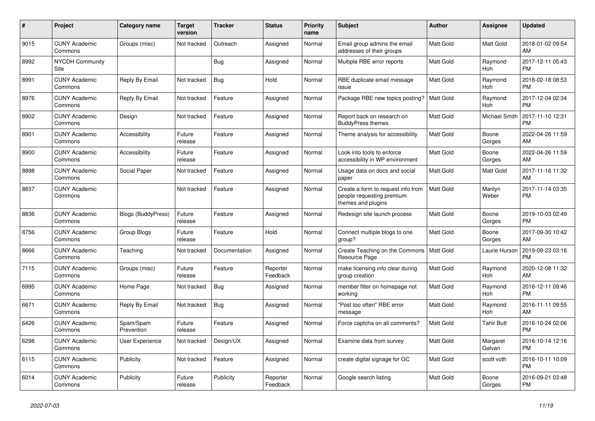| $\pmb{\#}$ | <b>Project</b>                  | Category name             | <b>Target</b><br>version | <b>Tracker</b> | <b>Status</b>        | Priority<br>name | <b>Subject</b>                                                                        | <b>Author</b>    | Assignee           | <b>Updated</b>                |
|------------|---------------------------------|---------------------------|--------------------------|----------------|----------------------|------------------|---------------------------------------------------------------------------------------|------------------|--------------------|-------------------------------|
| 9015       | <b>CUNY Academic</b><br>Commons | Groups (misc)             | Not tracked              | Outreach       | Assigned             | Normal           | Email group admins the email<br>addresses of their groups                             | <b>Matt Gold</b> | Matt Gold          | 2018-01-02 09:54<br>AM        |
| 8992       | <b>NYCDH Community</b><br>Site  |                           |                          | Bug            | Assigned             | Normal           | Multiple RBE error reports                                                            | Matt Gold        | Raymond<br>Hoh     | 2017-12-11 05:43<br><b>PM</b> |
| 8991       | <b>CUNY Academic</b><br>Commons | Reply By Email            | Not tracked              | Bug            | Hold                 | Normal           | RBE duplicate email message<br>issue                                                  | <b>Matt Gold</b> | Raymond<br>Hoh     | 2018-02-18 08:53<br><b>PM</b> |
| 8976       | <b>CUNY Academic</b><br>Commons | Reply By Email            | Not tracked              | Feature        | Assigned             | Normal           | Package RBE new topics posting?                                                       | <b>Matt Gold</b> | Raymond<br>Hoh     | 2017-12-04 02:34<br><b>PM</b> |
| 8902       | <b>CUNY Academic</b><br>Commons | Design                    | Not tracked              | Feature        | Assigned             | Normal           | Report back on research on<br><b>BuddyPress themes</b>                                | Matt Gold        | Michael Smith      | 2017-11-10 12:31<br><b>PM</b> |
| 8901       | <b>CUNY Academic</b><br>Commons | Accessibility             | Future<br>release        | Feature        | Assigned             | Normal           | Theme analysis for accessibility                                                      | Matt Gold        | Boone<br>Gorges    | 2022-04-26 11:59<br>AM        |
| 8900       | <b>CUNY Academic</b><br>Commons | Accessibility             | Future<br>release        | Feature        | Assigned             | Normal           | Look into tools to enforce<br>accessibility in WP environment                         | <b>Matt Gold</b> | Boone<br>Gorges    | 2022-04-26 11:59<br>AM        |
| 8898       | <b>CUNY Academic</b><br>Commons | Social Paper              | Not tracked              | Feature        | Assigned             | Normal           | Usage data on docs and social<br>paper                                                | <b>Matt Gold</b> | Matt Gold          | 2017-11-16 11:32<br>AM        |
| 8837       | <b>CUNY Academic</b><br>Commons |                           | Not tracked              | Feature        | Assigned             | Normal           | Create a form to request info from<br>people requesting premium<br>themes and plugins | <b>Matt Gold</b> | Marilyn<br>Weber   | 2017-11-14 03:35<br><b>PM</b> |
| 8836       | <b>CUNY Academic</b><br>Commons | <b>Blogs (BuddyPress)</b> | Future<br>release        | Feature        | Assigned             | Normal           | Redesign site launch process                                                          | <b>Matt Gold</b> | Boone<br>Gorges    | 2019-10-03 02:49<br><b>PM</b> |
| 8756       | <b>CUNY Academic</b><br>Commons | Group Blogs               | Future<br>release        | Feature        | Hold                 | Normal           | Connect multiple blogs to one<br>group?                                               | Matt Gold        | Boone<br>Gorges    | 2017-09-30 10:42<br>AM        |
| 8666       | <b>CUNY Academic</b><br>Commons | Teaching                  | Not tracked              | Documentation  | Assigned             | Normal           | Create Teaching on the Commons<br>Resource Page                                       | Matt Gold        | Laurie Hurson      | 2019-09-23 03:16<br><b>PM</b> |
| 7115       | <b>CUNY Academic</b><br>Commons | Groups (misc)             | Future<br>release        | Feature        | Reporter<br>Feedback | Normal           | make licensing info clear during<br>group creation                                    | Matt Gold        | Raymond<br>Hoh     | 2020-12-08 11:32<br>AM        |
| 6995       | <b>CUNY Academic</b><br>Commons | Home Page                 | Not tracked              | Bug            | Assigned             | Normal           | member filter on homepage not<br>working                                              | Matt Gold        | Raymond<br>Hoh     | 2016-12-11 09:46<br><b>PM</b> |
| 6671       | <b>CUNY Academic</b><br>Commons | Reply By Email            | Not tracked              | <b>Bug</b>     | Assigned             | Normal           | "Post too often" RBE error<br>message                                                 | Matt Gold        | Raymond<br>Hoh     | 2016-11-11 09:55<br>AM        |
| 6426       | <b>CUNY Academic</b><br>Commons | Spam/Spam<br>Prevention   | Future<br>release        | Feature        | Assigned             | Normal           | Force captcha on all comments?                                                        | <b>Matt Gold</b> | <b>Tahir Butt</b>  | 2016-10-24 02:06<br><b>PM</b> |
| 6298       | <b>CUNY Academic</b><br>Commons | User Experience           | Not tracked              | Design/UX      | Assigned             | Normal           | Examine data from survey                                                              | <b>Matt Gold</b> | Margaret<br>Galvan | 2016-10-14 12:16<br><b>PM</b> |
| 6115       | <b>CUNY Academic</b><br>Commons | Publicity                 | Not tracked              | Feature        | Assigned             | Normal           | create digital signage for GC                                                         | Matt Gold        | scott voth         | 2016-10-11 10:09<br><b>PM</b> |
| 6014       | <b>CUNY Academic</b><br>Commons | Publicity                 | Future<br>release        | Publicity      | Reporter<br>Feedback | Normal           | Google search listing                                                                 | <b>Matt Gold</b> | Boone<br>Gorges    | 2016-09-21 03:48<br><b>PM</b> |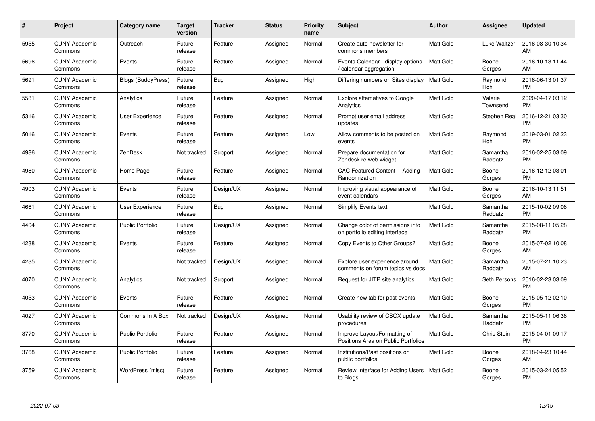| $\#$ | Project                         | <b>Category name</b>      | <b>Target</b><br>version | <b>Tracker</b> | <b>Status</b> | <b>Priority</b><br>name | <b>Subject</b>                                                      | <b>Author</b>    | Assignee            | <b>Updated</b>                |
|------|---------------------------------|---------------------------|--------------------------|----------------|---------------|-------------------------|---------------------------------------------------------------------|------------------|---------------------|-------------------------------|
| 5955 | <b>CUNY Academic</b><br>Commons | Outreach                  | Future<br>release        | Feature        | Assigned      | Normal                  | Create auto-newsletter for<br>commons members                       | <b>Matt Gold</b> | Luke Waltzer        | 2016-08-30 10:34<br>AM        |
| 5696 | <b>CUNY Academic</b><br>Commons | Events                    | Future<br>release        | Feature        | Assigned      | Normal                  | Events Calendar - display options<br>calendar aggregation /         | <b>Matt Gold</b> | Boone<br>Gorges     | 2016-10-13 11:44<br>AM        |
| 5691 | <b>CUNY Academic</b><br>Commons | <b>Blogs (BuddyPress)</b> | Future<br>release        | Bug            | Assigned      | High                    | Differing numbers on Sites display                                  | Matt Gold        | Raymond<br>Hoh      | 2016-06-13 01:37<br><b>PM</b> |
| 5581 | <b>CUNY Academic</b><br>Commons | Analytics                 | Future<br>release        | Feature        | Assigned      | Normal                  | Explore alternatives to Google<br>Analytics                         | Matt Gold        | Valerie<br>Townsend | 2020-04-17 03:12<br><b>PM</b> |
| 5316 | <b>CUNY Academic</b><br>Commons | <b>User Experience</b>    | Future<br>release        | Feature        | Assigned      | Normal                  | Prompt user email address<br>updates                                | <b>Matt Gold</b> | Stephen Real        | 2016-12-21 03:30<br><b>PM</b> |
| 5016 | <b>CUNY Academic</b><br>Commons | Events                    | Future<br>release        | Feature        | Assigned      | Low                     | Allow comments to be posted on<br>events                            | <b>Matt Gold</b> | Raymond<br>Hoh      | 2019-03-01 02:23<br><b>PM</b> |
| 4986 | <b>CUNY Academic</b><br>Commons | ZenDesk                   | Not tracked              | Support        | Assigned      | Normal                  | Prepare documentation for<br>Zendesk re web widget                  | Matt Gold        | Samantha<br>Raddatz | 2016-02-25 03:09<br><b>PM</b> |
| 4980 | <b>CUNY Academic</b><br>Commons | Home Page                 | Future<br>release        | Feature        | Assigned      | Normal                  | CAC Featured Content -- Adding<br>Randomization                     | Matt Gold        | Boone<br>Gorges     | 2016-12-12 03:01<br><b>PM</b> |
| 4903 | <b>CUNY Academic</b><br>Commons | Events                    | Future<br>release        | Design/UX      | Assigned      | Normal                  | Improving visual appearance of<br>event calendars                   | <b>Matt Gold</b> | Boone<br>Gorges     | 2016-10-13 11:51<br>AM        |
| 4661 | <b>CUNY Academic</b><br>Commons | User Experience           | Future<br>release        | Bug            | Assigned      | Normal                  | <b>Simplify Events text</b>                                         | Matt Gold        | Samantha<br>Raddatz | 2015-10-02 09:06<br><b>PM</b> |
| 4404 | <b>CUNY Academic</b><br>Commons | <b>Public Portfolio</b>   | Future<br>release        | Design/UX      | Assigned      | Normal                  | Change color of permissions info<br>on portfolio editing interface  | Matt Gold        | Samantha<br>Raddatz | 2015-08-11 05:28<br><b>PM</b> |
| 4238 | <b>CUNY Academic</b><br>Commons | Events                    | Future<br>release        | Feature        | Assigned      | Normal                  | Copy Events to Other Groups?                                        | Matt Gold        | Boone<br>Gorges     | 2015-07-02 10:08<br>AM        |
| 4235 | <b>CUNY Academic</b><br>Commons |                           | Not tracked              | Design/UX      | Assigned      | Normal                  | Explore user experience around<br>comments on forum topics vs docs  | Matt Gold        | Samantha<br>Raddatz | 2015-07-21 10:23<br>AM        |
| 4070 | <b>CUNY Academic</b><br>Commons | Analytics                 | Not tracked              | Support        | Assigned      | Normal                  | Request for JITP site analytics                                     | Matt Gold        | Seth Persons        | 2016-02-23 03:09<br><b>PM</b> |
| 4053 | <b>CUNY Academic</b><br>Commons | Events                    | Future<br>release        | Feature        | Assigned      | Normal                  | Create new tab for past events                                      | Matt Gold        | Boone<br>Gorges     | 2015-05-12 02:10<br><b>PM</b> |
| 4027 | <b>CUNY Academic</b><br>Commons | Commons In A Box          | Not tracked              | Design/UX      | Assigned      | Normal                  | Usability review of CBOX update<br>procedures                       | Matt Gold        | Samantha<br>Raddatz | 2015-05-11 06:36<br><b>PM</b> |
| 3770 | <b>CUNY Academic</b><br>Commons | Public Portfolio          | Future<br>release        | Feature        | Assigned      | Normal                  | Improve Layout/Formatting of<br>Positions Area on Public Portfolios | Matt Gold        | <b>Chris Stein</b>  | 2015-04-01 09:17<br><b>PM</b> |
| 3768 | <b>CUNY Academic</b><br>Commons | Public Portfolio          | Future<br>release        | Feature        | Assigned      | Normal                  | Institutions/Past positions on<br>public portfolios                 | Matt Gold        | Boone<br>Gorges     | 2018-04-23 10:44<br>AM        |
| 3759 | <b>CUNY Academic</b><br>Commons | WordPress (misc)          | Future<br>release        | Feature        | Assigned      | Normal                  | Review Interface for Adding Users<br>to Blogs                       | Matt Gold        | Boone<br>Gorges     | 2015-03-24 05:52<br><b>PM</b> |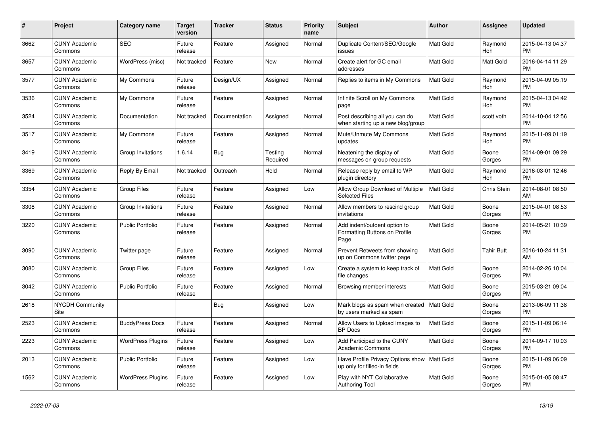| $\pmb{\#}$ | <b>Project</b>                  | <b>Category name</b>     | <b>Target</b><br>version | <b>Tracker</b> | <b>Status</b>       | Priority<br>name | <b>Subject</b>                                                                | <b>Author</b>    | Assignee        | <b>Updated</b>                |
|------------|---------------------------------|--------------------------|--------------------------|----------------|---------------------|------------------|-------------------------------------------------------------------------------|------------------|-----------------|-------------------------------|
| 3662       | <b>CUNY Academic</b><br>Commons | <b>SEO</b>               | Future<br>release        | Feature        | Assigned            | Normal           | Duplicate Content/SEO/Google<br>issues                                        | <b>Matt Gold</b> | Raymond<br>Hoh  | 2015-04-13 04:37<br><b>PM</b> |
| 3657       | <b>CUNY Academic</b><br>Commons | WordPress (misc)         | Not tracked              | Feature        | New                 | Normal           | Create alert for GC email<br>addresses                                        | Matt Gold        | Matt Gold       | 2016-04-14 11:29<br><b>PM</b> |
| 3577       | <b>CUNY Academic</b><br>Commons | My Commons               | Future<br>release        | Design/UX      | Assigned            | Normal           | Replies to items in My Commons                                                | Matt Gold        | Raymond<br>Hoh  | 2015-04-09 05:19<br><b>PM</b> |
| 3536       | <b>CUNY Academic</b><br>Commons | My Commons               | Future<br>release        | Feature        | Assigned            | Normal           | Infinite Scroll on My Commons<br>page                                         | Matt Gold        | Raymond<br>Hoh  | 2015-04-13 04:42<br><b>PM</b> |
| 3524       | <b>CUNY Academic</b><br>Commons | Documentation            | Not tracked              | Documentation  | Assigned            | Normal           | Post describing all you can do<br>when starting up a new blog/group           | Matt Gold        | scott voth      | 2014-10-04 12:56<br><b>PM</b> |
| 3517       | <b>CUNY Academic</b><br>Commons | My Commons               | Future<br>release        | Feature        | Assigned            | Normal           | Mute/Unmute My Commons<br>updates                                             | Matt Gold        | Raymond<br>Hoh  | 2015-11-09 01:19<br><b>PM</b> |
| 3419       | <b>CUNY Academic</b><br>Commons | Group Invitations        | 1.6.14                   | Bug            | Testing<br>Required | Normal           | Neatening the display of<br>messages on group requests                        | <b>Matt Gold</b> | Boone<br>Gorges | 2014-09-01 09:29<br><b>PM</b> |
| 3369       | <b>CUNY Academic</b><br>Commons | Reply By Email           | Not tracked              | Outreach       | Hold                | Normal           | Release reply by email to WP<br>plugin directory                              | <b>Matt Gold</b> | Raymond<br>Hoh  | 2016-03-01 12:46<br><b>PM</b> |
| 3354       | <b>CUNY Academic</b><br>Commons | <b>Group Files</b>       | Future<br>release        | Feature        | Assigned            | Low              | Allow Group Download of Multiple<br><b>Selected Files</b>                     | Matt Gold        | Chris Stein     | 2014-08-01 08:50<br>AM        |
| 3308       | <b>CUNY Academic</b><br>Commons | Group Invitations        | Future<br>release        | Feature        | Assigned            | Normal           | Allow members to rescind group<br>invitations                                 | <b>Matt Gold</b> | Boone<br>Gorges | 2015-04-01 08:53<br><b>PM</b> |
| 3220       | <b>CUNY Academic</b><br>Commons | <b>Public Portfolio</b>  | Future<br>release        | Feature        | Assigned            | Normal           | Add indent/outdent option to<br>Formatting Buttons on Profile<br>Page         | Matt Gold        | Boone<br>Gorges | 2014-05-21 10:39<br><b>PM</b> |
| 3090       | <b>CUNY Academic</b><br>Commons | Twitter page             | Future<br>release        | Feature        | Assigned            | Normal           | Prevent Retweets from showing<br>up on Commons twitter page                   | <b>Matt Gold</b> | Tahir Butt      | 2016-10-24 11:31<br>AM        |
| 3080       | <b>CUNY Academic</b><br>Commons | <b>Group Files</b>       | Future<br>release        | Feature        | Assigned            | Low              | Create a system to keep track of<br>file changes                              | <b>Matt Gold</b> | Boone<br>Gorges | 2014-02-26 10:04<br><b>PM</b> |
| 3042       | <b>CUNY Academic</b><br>Commons | <b>Public Portfolio</b>  | Future<br>release        | Feature        | Assigned            | Normal           | Browsing member interests                                                     | Matt Gold        | Boone<br>Gorges | 2015-03-21 09:04<br><b>PM</b> |
| 2618       | <b>NYCDH Community</b><br>Site  |                          |                          | Bug            | Assigned            | Low              | Mark blogs as spam when created   Matt Gold<br>by users marked as spam        |                  | Boone<br>Gorges | 2013-06-09 11:38<br><b>PM</b> |
| 2523       | <b>CUNY Academic</b><br>Commons | <b>BuddyPress Docs</b>   | Future<br>release        | Feature        | Assigned            | Normal           | Allow Users to Upload Images to<br><b>BP</b> Docs                             | <b>Matt Gold</b> | Boone<br>Gorges | 2015-11-09 06:14<br><b>PM</b> |
| 2223       | <b>CUNY Academic</b><br>Commons | <b>WordPress Plugins</b> | Future<br>release        | Feature        | Assigned            | Low              | Add Participad to the CUNY<br><b>Academic Commons</b>                         | Matt Gold        | Boone<br>Gorges | 2014-09-17 10:03<br><b>PM</b> |
| 2013       | <b>CUNY Academic</b><br>Commons | Public Portfolio         | Future<br>release        | Feature        | Assigned            | Low              | Have Profile Privacy Options show   Matt Gold<br>up only for filled-in fields |                  | Boone<br>Gorges | 2015-11-09 06:09<br><b>PM</b> |
| 1562       | <b>CUNY Academic</b><br>Commons | <b>WordPress Plugins</b> | Future<br>release        | Feature        | Assigned            | Low              | Play with NYT Collaborative<br><b>Authoring Tool</b>                          | <b>Matt Gold</b> | Boone<br>Gorges | 2015-01-05 08:47<br><b>PM</b> |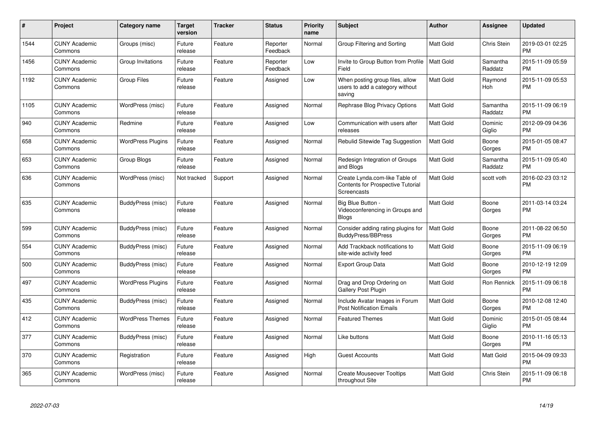| #    | Project                         | <b>Category name</b>     | <b>Target</b><br>version | <b>Tracker</b> | <b>Status</b>        | <b>Priority</b><br>name | <b>Subject</b>                                                                            | <b>Author</b>    | <b>Assignee</b>     | <b>Updated</b>                |
|------|---------------------------------|--------------------------|--------------------------|----------------|----------------------|-------------------------|-------------------------------------------------------------------------------------------|------------------|---------------------|-------------------------------|
| 1544 | <b>CUNY Academic</b><br>Commons | Groups (misc)            | Future<br>release        | Feature        | Reporter<br>Feedback | Normal                  | Group Filtering and Sorting                                                               | <b>Matt Gold</b> | Chris Stein         | 2019-03-01 02:25<br><b>PM</b> |
| 1456 | <b>CUNY Academic</b><br>Commons | Group Invitations        | Future<br>release        | Feature        | Reporter<br>Feedback | Low                     | Invite to Group Button from Profile<br>Field                                              | Matt Gold        | Samantha<br>Raddatz | 2015-11-09 05:59<br><b>PM</b> |
| 1192 | <b>CUNY Academic</b><br>Commons | <b>Group Files</b>       | Future<br>release        | Feature        | Assigned             | Low                     | When posting group files, allow<br>users to add a category without<br>saving              | <b>Matt Gold</b> | Raymond<br>Hoh      | 2015-11-09 05:53<br><b>PM</b> |
| 1105 | <b>CUNY Academic</b><br>Commons | WordPress (misc)         | Future<br>release        | Feature        | Assigned             | Normal                  | Rephrase Blog Privacy Options                                                             | <b>Matt Gold</b> | Samantha<br>Raddatz | 2015-11-09 06:19<br><b>PM</b> |
| 940  | <b>CUNY Academic</b><br>Commons | Redmine                  | Future<br>release        | Feature        | Assigned             | Low                     | Communication with users after<br>releases                                                | Matt Gold        | Dominic<br>Giglio   | 2012-09-09 04:36<br><b>PM</b> |
| 658  | <b>CUNY Academic</b><br>Commons | <b>WordPress Plugins</b> | Future<br>release        | Feature        | Assigned             | Normal                  | Rebulid Sitewide Tag Suggestion                                                           | <b>Matt Gold</b> | Boone<br>Gorges     | 2015-01-05 08:47<br><b>PM</b> |
| 653  | <b>CUNY Academic</b><br>Commons | Group Blogs              | Future<br>release        | Feature        | Assigned             | Normal                  | Redesign Integration of Groups<br>and Blogs                                               | <b>Matt Gold</b> | Samantha<br>Raddatz | 2015-11-09 05:40<br><b>PM</b> |
| 636  | <b>CUNY Academic</b><br>Commons | WordPress (misc)         | Not tracked              | Support        | Assigned             | Normal                  | Create Lynda.com-like Table of<br><b>Contents for Prospective Tutorial</b><br>Screencasts | <b>Matt Gold</b> | scott voth          | 2016-02-23 03:12<br><b>PM</b> |
| 635  | <b>CUNY Academic</b><br>Commons | BuddyPress (misc)        | Future<br>release        | Feature        | Assigned             | Normal                  | Big Blue Button -<br>Videoconferencing in Groups and<br><b>Blogs</b>                      | <b>Matt Gold</b> | Boone<br>Gorges     | 2011-03-14 03:24<br><b>PM</b> |
| 599  | <b>CUNY Academic</b><br>Commons | BuddyPress (misc)        | Future<br>release        | Feature        | Assigned             | Normal                  | Consider adding rating plugins for<br><b>BuddyPress/BBPress</b>                           | <b>Matt Gold</b> | Boone<br>Gorges     | 2011-08-22 06:50<br><b>PM</b> |
| 554  | <b>CUNY Academic</b><br>Commons | BuddyPress (misc)        | Future<br>release        | Feature        | Assigned             | Normal                  | Add Trackback notifications to<br>site-wide activity feed                                 | <b>Matt Gold</b> | Boone<br>Gorges     | 2015-11-09 06:19<br><b>PM</b> |
| 500  | <b>CUNY Academic</b><br>Commons | BuddyPress (misc)        | Future<br>release        | Feature        | Assigned             | Normal                  | <b>Export Group Data</b>                                                                  | <b>Matt Gold</b> | Boone<br>Gorges     | 2010-12-19 12:09<br><b>PM</b> |
| 497  | <b>CUNY Academic</b><br>Commons | <b>WordPress Plugins</b> | Future<br>release        | Feature        | Assigned             | Normal                  | Drag and Drop Ordering on<br>Gallery Post Plugin                                          | <b>Matt Gold</b> | Ron Rennick         | 2015-11-09 06:18<br><b>PM</b> |
| 435  | <b>CUNY Academic</b><br>Commons | BuddyPress (misc)        | Future<br>release        | Feature        | Assigned             | Normal                  | Include Avatar Images in Forum<br><b>Post Notification Emails</b>                         | <b>Matt Gold</b> | Boone<br>Gorges     | 2010-12-08 12:40<br><b>PM</b> |
| 412  | <b>CUNY Academic</b><br>Commons | <b>WordPress Themes</b>  | Future<br>release        | Feature        | Assigned             | Normal                  | <b>Featured Themes</b>                                                                    | <b>Matt Gold</b> | Dominic<br>Giglio   | 2015-01-05 08:44<br><b>PM</b> |
| 377  | <b>CUNY Academic</b><br>Commons | BuddyPress (misc)        | Future<br>release        | Feature        | Assigned             | Normal                  | Like buttons                                                                              | <b>Matt Gold</b> | Boone<br>Gorges     | 2010-11-16 05:13<br><b>PM</b> |
| 370  | <b>CUNY Academic</b><br>Commons | Registration             | Future<br>release        | Feature        | Assigned             | High                    | <b>Guest Accounts</b>                                                                     | <b>Matt Gold</b> | Matt Gold           | 2015-04-09 09:33<br><b>PM</b> |
| 365  | <b>CUNY Academic</b><br>Commons | WordPress (misc)         | Future<br>release        | Feature        | Assigned             | Normal                  | <b>Create Mouseover Tooltips</b><br>throughout Site                                       | <b>Matt Gold</b> | Chris Stein         | 2015-11-09 06:18<br><b>PM</b> |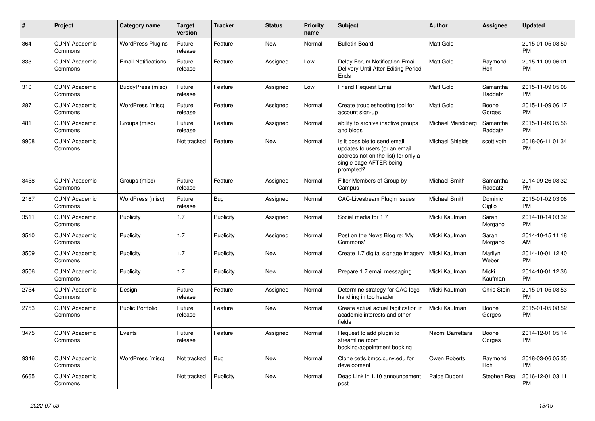| #    | Project                         | <b>Category name</b>       | <b>Target</b><br>version | <b>Tracker</b> | <b>Status</b> | <b>Priority</b><br>name | <b>Subject</b>                                                                                                                               | <b>Author</b>          | <b>Assignee</b>     | <b>Updated</b>                |
|------|---------------------------------|----------------------------|--------------------------|----------------|---------------|-------------------------|----------------------------------------------------------------------------------------------------------------------------------------------|------------------------|---------------------|-------------------------------|
| 364  | <b>CUNY Academic</b><br>Commons | <b>WordPress Plugins</b>   | Future<br>release        | Feature        | New           | Normal                  | <b>Bulletin Board</b>                                                                                                                        | <b>Matt Gold</b>       |                     | 2015-01-05 08:50<br><b>PM</b> |
| 333  | <b>CUNY Academic</b><br>Commons | <b>Email Notifications</b> | Future<br>release        | Feature        | Assigned      | Low                     | Delay Forum Notification Email<br>Delivery Until After Editing Period<br>Ends                                                                | <b>Matt Gold</b>       | Raymond<br>Hoh      | 2015-11-09 06:01<br><b>PM</b> |
| 310  | <b>CUNY Academic</b><br>Commons | BuddyPress (misc)          | Future<br>release        | Feature        | Assigned      | Low                     | <b>Friend Request Email</b>                                                                                                                  | <b>Matt Gold</b>       | Samantha<br>Raddatz | 2015-11-09 05:08<br><b>PM</b> |
| 287  | <b>CUNY Academic</b><br>Commons | WordPress (misc)           | Future<br>release        | Feature        | Assigned      | Normal                  | Create troubleshooting tool for<br>account sign-up                                                                                           | <b>Matt Gold</b>       | Boone<br>Gorges     | 2015-11-09 06:17<br><b>PM</b> |
| 481  | <b>CUNY Academic</b><br>Commons | Groups (misc)              | Future<br>release        | Feature        | Assigned      | Normal                  | ability to archive inactive groups<br>and blogs                                                                                              | Michael Mandiberg      | Samantha<br>Raddatz | 2015-11-09 05:56<br><b>PM</b> |
| 9908 | <b>CUNY Academic</b><br>Commons |                            | Not tracked              | Feature        | New           | Normal                  | Is it possible to send email<br>updates to users (or an email<br>address not on the list) for only a<br>single page AFTER being<br>prompted? | <b>Michael Shields</b> | scott voth          | 2018-06-11 01:34<br><b>PM</b> |
| 3458 | <b>CUNY Academic</b><br>Commons | Groups (misc)              | Future<br>release        | Feature        | Assigned      | Normal                  | Filter Members of Group by<br>Campus                                                                                                         | <b>Michael Smith</b>   | Samantha<br>Raddatz | 2014-09-26 08:32<br><b>PM</b> |
| 2167 | <b>CUNY Academic</b><br>Commons | WordPress (misc)           | Future<br>release        | Bug            | Assigned      | Normal                  | <b>CAC-Livestream Plugin Issues</b>                                                                                                          | Michael Smith          | Dominic<br>Giglio   | 2015-01-02 03:06<br><b>PM</b> |
| 3511 | <b>CUNY Academic</b><br>Commons | Publicity                  | 1.7                      | Publicity      | Assigned      | Normal                  | Social media for 1.7                                                                                                                         | Micki Kaufman          | Sarah<br>Morgano    | 2014-10-14 03:32<br><b>PM</b> |
| 3510 | <b>CUNY Academic</b><br>Commons | Publicity                  | 1.7                      | Publicity      | Assigned      | Normal                  | Post on the News Blog re: 'My<br>Commons'                                                                                                    | Micki Kaufman          | Sarah<br>Morgano    | 2014-10-15 11:18<br>AM        |
| 3509 | <b>CUNY Academic</b><br>Commons | Publicity                  | 1.7                      | Publicity      | <b>New</b>    | Normal                  | Create 1.7 digital signage imagery                                                                                                           | Micki Kaufman          | Marilyn<br>Weber    | 2014-10-01 12:40<br><b>PM</b> |
| 3506 | <b>CUNY Academic</b><br>Commons | Publicity                  | 1.7                      | Publicity      | New           | Normal                  | Prepare 1.7 email messaging                                                                                                                  | Micki Kaufman          | Micki<br>Kaufman    | 2014-10-01 12:36<br><b>PM</b> |
| 2754 | <b>CUNY Academic</b><br>Commons | Design                     | Future<br>release        | Feature        | Assigned      | Normal                  | Determine strategy for CAC logo<br>handling in top header                                                                                    | Micki Kaufman          | Chris Stein         | 2015-01-05 08:53<br><b>PM</b> |
| 2753 | <b>CUNY Academic</b><br>Commons | <b>Public Portfolio</b>    | Future<br>release        | Feature        | <b>New</b>    | Normal                  | Create actual actual tagification in<br>academic interests and other<br>fields                                                               | Micki Kaufman          | Boone<br>Gorges     | 2015-01-05 08:52<br><b>PM</b> |
| 3475 | <b>CUNY Academic</b><br>Commons | Events                     | Future<br>release        | Feature        | Assigned      | Normal                  | Request to add plugin to<br>streamline room<br>booking/appointment booking                                                                   | Naomi Barrettara       | Boone<br>Gorges     | 2014-12-01 05:14<br><b>PM</b> |
| 9346 | <b>CUNY Academic</b><br>Commons | WordPress (misc)           | Not tracked              | Bug            | New           | Normal                  | Clone cetls.bmcc.cuny.edu for<br>development                                                                                                 | Owen Roberts           | Raymond<br>Hoh      | 2018-03-06 05:35<br><b>PM</b> |
| 6665 | <b>CUNY Academic</b><br>Commons |                            | Not tracked              | Publicity      | <b>New</b>    | Normal                  | Dead Link in 1.10 announcement<br>post                                                                                                       | Paige Dupont           | <b>Stephen Real</b> | 2016-12-01 03:11<br><b>PM</b> |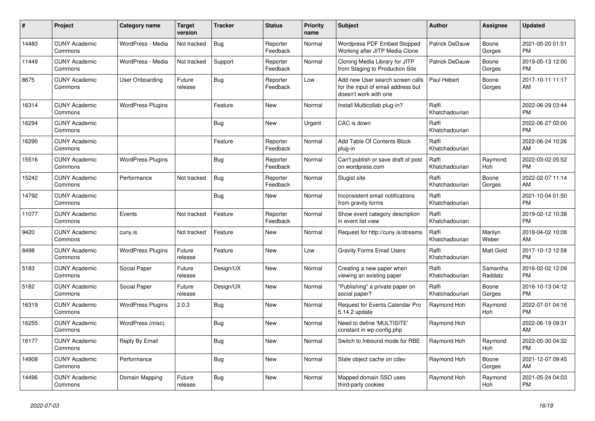| $\pmb{\sharp}$ | Project                         | <b>Category name</b>     | <b>Target</b><br>version | <b>Tracker</b> | <b>Status</b>        | <b>Priority</b><br>name | <b>Subject</b>                                                                                  | <b>Author</b>           | Assignee            | <b>Updated</b>                |
|----------------|---------------------------------|--------------------------|--------------------------|----------------|----------------------|-------------------------|-------------------------------------------------------------------------------------------------|-------------------------|---------------------|-------------------------------|
| 14483          | <b>CUNY Academic</b><br>Commons | WordPress - Media        | Not tracked              | Bug            | Reporter<br>Feedback | Normal                  | Wordpress PDF Embed Stopped<br>Working after JITP Media Clone                                   | <b>Patrick DeDauw</b>   | Boone<br>Gorges     | 2021-05-20 01:51<br><b>PM</b> |
| 11449          | <b>CUNY Academic</b><br>Commons | WordPress - Media        | Not tracked              | Support        | Reporter<br>Feedback | Normal                  | Cloning Media Library for JITP<br>from Staging to Production Site                               | <b>Patrick DeDauw</b>   | Boone<br>Gorges     | 2019-05-13 12:00<br><b>PM</b> |
| 8675           | <b>CUNY Academic</b><br>Commons | User Onboarding          | Future<br>release        | Bug            | Reporter<br>Feedback | Low                     | Add new User search screen calls<br>for the input of email address but<br>doesn't work with one | Paul Hebert             | Boone<br>Gorges     | 2017-10-11 11:17<br>AM        |
| 16314          | <b>CUNY Academic</b><br>Commons | <b>WordPress Plugins</b> |                          | Feature        | New                  | Normal                  | Install Multicollab plug-in?                                                                    | Raffi<br>Khatchadourian |                     | 2022-06-29 03:44<br><b>PM</b> |
| 16294          | <b>CUNY Academic</b><br>Commons |                          |                          | Bug            | New                  | Urgent                  | CAC is down                                                                                     | Raffi<br>Khatchadourian |                     | 2022-06-27 02:00<br><b>PM</b> |
| 16290          | <b>CUNY Academic</b><br>Commons |                          |                          | Feature        | Reporter<br>Feedback | Normal                  | Add Table Of Contents Block<br>plug-in                                                          | Raffi<br>Khatchadourian |                     | 2022-06-24 10:26<br>AM        |
| 15516          | <b>CUNY Academic</b><br>Commons | <b>WordPress Plugins</b> |                          | <b>Bug</b>     | Reporter<br>Feedback | Normal                  | Can't publish or save draft of post<br>on wordpress.com                                         | Raffi<br>Khatchadourian | Raymond<br>Hoh      | 2022-03-02 05:52<br><b>PM</b> |
| 15242          | <b>CUNY Academic</b><br>Commons | Performance              | Not tracked              | Bug            | Reporter<br>Feedback | Normal                  | Slugist site                                                                                    | Raffi<br>Khatchadourian | Boone<br>Gorges     | 2022-02-07 11:14<br><b>AM</b> |
| 14792          | <b>CUNY Academic</b><br>Commons |                          |                          | Bug            | New                  | Normal                  | Inconsistent email notifications<br>from gravity forms                                          | Raffi<br>Khatchadourian |                     | 2021-10-04 01:50<br><b>PM</b> |
| 11077          | <b>CUNY Academic</b><br>Commons | Events                   | Not tracked              | Feature        | Reporter<br>Feedback | Normal                  | Show event category description<br>in event list view                                           | Raffi<br>Khatchadourian |                     | 2019-02-12 10:38<br><b>PM</b> |
| 9420           | <b>CUNY Academic</b><br>Commons | cuny.is                  | Not tracked              | Feature        | New                  | Normal                  | Request for http://cuny.is/streams                                                              | Raffi<br>Khatchadourian | Marilyn<br>Weber    | 2018-04-02 10:08<br>AM        |
| 8498           | <b>CUNY Academic</b><br>Commons | <b>WordPress Plugins</b> | Future<br>release        | Feature        | New                  | Low                     | <b>Gravity Forms Email Users</b>                                                                | Raffi<br>Khatchadourian | Matt Gold           | 2017-10-13 12:58<br><b>PM</b> |
| 5183           | <b>CUNY Academic</b><br>Commons | Social Paper             | Future<br>release        | Design/UX      | <b>New</b>           | Normal                  | Creating a new paper when<br>viewing an existing paper                                          | Raffi<br>Khatchadourian | Samantha<br>Raddatz | 2016-02-02 12:09<br><b>PM</b> |
| 5182           | <b>CUNY Academic</b><br>Commons | Social Paper             | Future<br>release        | Design/UX      | New                  | Normal                  | "Publishing" a private paper on<br>social paper?                                                | Raffi<br>Khatchadourian | Boone<br>Gorges     | 2016-10-13 04:12<br>PM        |
| 16319          | <b>CUNY Academic</b><br>Commons | <b>WordPress Plugins</b> | 2.0.3                    | Bug            | <b>New</b>           | Normal                  | Request for Events Calendar Pro<br>5.14.2 update                                                | Raymond Hoh             | Raymond<br>Hoh      | 2022-07-01 04:16<br><b>PM</b> |
| 16255          | <b>CUNY Academic</b><br>Commons | WordPress (misc)         |                          | Bug            | <b>New</b>           | Normal                  | Need to define 'MULTISITE'<br>constant in wp-config.php                                         | Raymond Hoh             |                     | 2022-06-19 09:31<br>AM        |
| 16177          | <b>CUNY Academic</b><br>Commons | Reply By Email           |                          | Bug            | <b>New</b>           | Normal                  | Switch to Inbound mode for RBE                                                                  | Raymond Hoh             | Raymond<br>Hoh      | 2022-05-30 04:32<br><b>PM</b> |
| 14908          | <b>CUNY Academic</b><br>Commons | Performance              |                          | Bug            | New                  | Normal                  | Stale object cache on cdev                                                                      | Raymond Hoh             | Boone<br>Gorges     | 2021-12-07 09:45<br>AM.       |
| 14496          | <b>CUNY Academic</b><br>Commons | Domain Mapping           | Future<br>release        | <b>Bug</b>     | <b>New</b>           | Normal                  | Mapped domain SSO uses<br>third-party cookies                                                   | Raymond Hoh             | Raymond<br>Hoh      | 2021-05-24 04:03<br><b>PM</b> |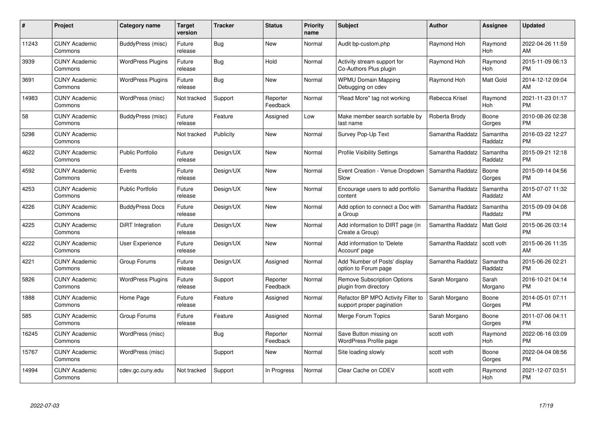| #     | <b>Project</b>                  | Category name            | Target<br>version | <b>Tracker</b> | <b>Status</b>        | <b>Priority</b><br>name | <b>Subject</b>                                                  | <b>Author</b>    | Assignee            | <b>Updated</b>                |
|-------|---------------------------------|--------------------------|-------------------|----------------|----------------------|-------------------------|-----------------------------------------------------------------|------------------|---------------------|-------------------------------|
| 11243 | <b>CUNY Academic</b><br>Commons | BuddyPress (misc)        | Future<br>release | <b>Bug</b>     | <b>New</b>           | Normal                  | Audit bp-custom.php                                             | Raymond Hoh      | Raymond<br>Hoh      | 2022-04-26 11:59<br>AM        |
| 3939  | <b>CUNY Academic</b><br>Commons | <b>WordPress Plugins</b> | Future<br>release | Bug            | Hold                 | Normal                  | Activity stream support for<br>Co-Authors Plus plugin           | Raymond Hoh      | Raymond<br>Hoh      | 2015-11-09 06:13<br><b>PM</b> |
| 3691  | <b>CUNY Academic</b><br>Commons | <b>WordPress Plugins</b> | Future<br>release | Bug            | <b>New</b>           | Normal                  | <b>WPMU Domain Mapping</b><br>Debugging on cdev                 | Raymond Hoh      | Matt Gold           | 2014-12-12 09:04<br><b>AM</b> |
| 14983 | <b>CUNY Academic</b><br>Commons | WordPress (misc)         | Not tracked       | Support        | Reporter<br>Feedback | Normal                  | "Read More" tag not working                                     | Rebecca Krisel   | Raymond<br>Hoh      | 2021-11-23 01:17<br><b>PM</b> |
| 58    | <b>CUNY Academic</b><br>Commons | BuddyPress (misc)        | Future<br>release | Feature        | Assigned             | Low                     | Make member search sortable by<br>last name                     | Roberta Brody    | Boone<br>Gorges     | 2010-08-26 02:38<br><b>PM</b> |
| 5298  | <b>CUNY Academic</b><br>Commons |                          | Not tracked       | Publicity      | <b>New</b>           | Normal                  | Survey Pop-Up Text                                              | Samantha Raddatz | Samantha<br>Raddatz | 2016-03-22 12:27<br><b>PM</b> |
| 4622  | <b>CUNY Academic</b><br>Commons | Public Portfolio         | Future<br>release | Design/UX      | New                  | Normal                  | <b>Profile Visibility Settings</b>                              | Samantha Raddatz | Samantha<br>Raddatz | 2015-09-21 12:18<br><b>PM</b> |
| 4592  | <b>CUNY Academic</b><br>Commons | Events                   | Future<br>release | Design/UX      | <b>New</b>           | Normal                  | Event Creation - Venue Dropdown<br>Slow                         | Samantha Raddatz | Boone<br>Gorges     | 2015-09-14 04:56<br><b>PM</b> |
| 4253  | <b>CUNY Academic</b><br>Commons | <b>Public Portfolio</b>  | Future<br>release | Design/UX      | <b>New</b>           | Normal                  | Encourage users to add portfolio<br>content                     | Samantha Raddatz | Samantha<br>Raddatz | 2015-07-07 11:32<br>AM        |
| 4226  | <b>CUNY Academic</b><br>Commons | <b>BuddyPress Docs</b>   | Future<br>release | Design/UX      | <b>New</b>           | Normal                  | Add option to connect a Doc with<br>a Group                     | Samantha Raddatz | Samantha<br>Raddatz | 2015-09-09 04:08<br><b>PM</b> |
| 4225  | <b>CUNY Academic</b><br>Commons | DiRT Integration         | Future<br>release | Design/UX      | New                  | Normal                  | Add information to DIRT page (in<br>Create a Group)             | Samantha Raddatz | Matt Gold           | 2015-06-26 03:14<br><b>PM</b> |
| 4222  | <b>CUNY Academic</b><br>Commons | <b>User Experience</b>   | Future<br>release | Design/UX      | <b>New</b>           | Normal                  | Add information to 'Delete<br>Account' page                     | Samantha Raddatz | scott voth          | 2015-06-26 11:35<br>AM        |
| 4221  | <b>CUNY Academic</b><br>Commons | Group Forums             | Future<br>release | Design/UX      | Assigned             | Normal                  | Add 'Number of Posts' display<br>option to Forum page           | Samantha Raddatz | Samantha<br>Raddatz | 2015-06-26 02:21<br><b>PM</b> |
| 5826  | <b>CUNY Academic</b><br>Commons | <b>WordPress Plugins</b> | Future<br>release | Support        | Reporter<br>Feedback | Normal                  | <b>Remove Subscription Options</b><br>plugin from directory     | Sarah Morgano    | Sarah<br>Morgano    | 2016-10-21 04:14<br>PM.       |
| 1888  | <b>CUNY Academic</b><br>Commons | Home Page                | Future<br>release | Feature        | Assigned             | Normal                  | Refactor BP MPO Activity Filter to<br>support proper pagination | Sarah Morgano    | Boone<br>Gorges     | 2014-05-01 07:11<br><b>PM</b> |
| 585   | <b>CUNY Academic</b><br>Commons | Group Forums             | Future<br>release | Feature        | Assigned             | Normal                  | Merge Forum Topics                                              | Sarah Morgano    | Boone<br>Gorges     | 2011-07-06 04:11<br><b>PM</b> |
| 16245 | <b>CUNY Academic</b><br>Commons | WordPress (misc)         |                   | Bug            | Reporter<br>Feedback | Normal                  | Save Button missing on<br>WordPress Profile page                | scott voth       | Raymond<br>Hoh      | 2022-06-16 03:09<br><b>PM</b> |
| 15767 | <b>CUNY Academic</b><br>Commons | WordPress (misc)         |                   | Support        | New                  | Normal                  | Site loading slowly                                             | scott voth       | Boone<br>Gorges     | 2022-04-04 08:56<br><b>PM</b> |
| 14994 | <b>CUNY Academic</b><br>Commons | cdev.gc.cuny.edu         | Not tracked       | Support        | In Progress          | Normal                  | Clear Cache on CDEV                                             | scott voth       | Raymond<br>Hoh      | 2021-12-07 03:51<br>PM        |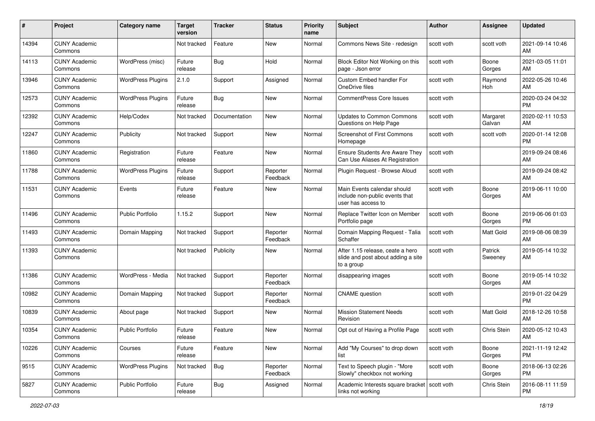| #     | Project                         | <b>Category name</b>     | <b>Target</b><br>version | <b>Tracker</b> | <b>Status</b>        | Priority<br>name | <b>Subject</b>                                                                       | Author     | <b>Assignee</b>    | <b>Updated</b>                |
|-------|---------------------------------|--------------------------|--------------------------|----------------|----------------------|------------------|--------------------------------------------------------------------------------------|------------|--------------------|-------------------------------|
| 14394 | <b>CUNY Academic</b><br>Commons |                          | Not tracked              | Feature        | <b>New</b>           | Normal           | Commons News Site - redesign                                                         | scott voth | scott voth         | 2021-09-14 10:46<br>AM        |
| 14113 | <b>CUNY Academic</b><br>Commons | WordPress (misc)         | Future<br>release        | Bug            | Hold                 | Normal           | Block Editor Not Working on this<br>page - Json error                                | scott voth | Boone<br>Gorges    | 2021-03-05 11:01<br>AM        |
| 13946 | <b>CUNY Academic</b><br>Commons | <b>WordPress Plugins</b> | 2.1.0                    | Support        | Assigned             | Normal           | Custom Embed handler For<br>OneDrive files                                           | scott voth | Raymond<br>Hoh     | 2022-05-26 10:46<br>AM        |
| 12573 | <b>CUNY Academic</b><br>Commons | <b>WordPress Plugins</b> | Future<br>release        | Bug            | <b>New</b>           | Normal           | <b>CommentPress Core Issues</b>                                                      | scott voth |                    | 2020-03-24 04:32<br><b>PM</b> |
| 12392 | <b>CUNY Academic</b><br>Commons | Help/Codex               | Not tracked              | Documentation  | <b>New</b>           | Normal           | <b>Updates to Common Commons</b><br>Questions on Help Page                           | scott voth | Margaret<br>Galvan | 2020-02-11 10:53<br>AM        |
| 12247 | <b>CUNY Academic</b><br>Commons | Publicity                | Not tracked              | Support        | New                  | Normal           | Screenshot of First Commons<br>Homepage                                              | scott voth | scott voth         | 2020-01-14 12:08<br><b>PM</b> |
| 11860 | <b>CUNY Academic</b><br>Commons | Registration             | Future<br>release        | Feature        | New                  | Normal           | Ensure Students Are Aware They<br>Can Use Aliases At Registration                    | scott voth |                    | 2019-09-24 08:46<br>AM        |
| 11788 | <b>CUNY Academic</b><br>Commons | <b>WordPress Plugins</b> | Future<br>release        | Support        | Reporter<br>Feedback | Normal           | Plugin Request - Browse Aloud                                                        | scott voth |                    | 2019-09-24 08:42<br>AM        |
| 11531 | <b>CUNY Academic</b><br>Commons | Events                   | Future<br>release        | Feature        | New                  | Normal           | Main Events calendar should<br>include non-public events that<br>user has access to  | scott voth | Boone<br>Gorges    | 2019-06-11 10:00<br>AM        |
| 11496 | <b>CUNY Academic</b><br>Commons | <b>Public Portfolio</b>  | 1.15.2                   | Support        | New                  | Normal           | Replace Twitter Icon on Member<br>Portfolio page                                     | scott voth | Boone<br>Gorges    | 2019-06-06 01:03<br><b>PM</b> |
| 11493 | <b>CUNY Academic</b><br>Commons | Domain Mapping           | Not tracked              | Support        | Reporter<br>Feedback | Normal           | Domain Mapping Request - Talia<br>Schaffer                                           | scott voth | Matt Gold          | 2019-08-06 08:39<br>AM        |
| 11393 | <b>CUNY Academic</b><br>Commons |                          | Not tracked              | Publicity      | New                  | Normal           | After 1.15 release, ceate a hero<br>slide and post about adding a site<br>to a group | scott voth | Patrick<br>Sweeney | 2019-05-14 10:32<br>AM        |
| 11386 | <b>CUNY Academic</b><br>Commons | WordPress - Media        | Not tracked              | Support        | Reporter<br>Feedback | Normal           | disappearing images                                                                  | scott voth | Boone<br>Gorges    | 2019-05-14 10:32<br>AM        |
| 10982 | <b>CUNY Academic</b><br>Commons | Domain Mapping           | Not tracked              | Support        | Reporter<br>Feedback | Normal           | <b>CNAME</b> question                                                                | scott voth |                    | 2019-01-22 04:29<br><b>PM</b> |
| 10839 | <b>CUNY Academic</b><br>Commons | About page               | Not tracked              | Support        | New                  | Normal           | <b>Mission Statement Needs</b><br>Revision                                           | scott voth | Matt Gold          | 2018-12-26 10:58<br>AM        |
| 10354 | <b>CUNY Academic</b><br>Commons | <b>Public Portfolio</b>  | Future<br>release        | Feature        | New                  | Normal           | Opt out of Having a Profile Page                                                     | scott voth | Chris Stein        | 2020-05-12 10:43<br>AM        |
| 10226 | <b>CUNY Academic</b><br>Commons | Courses                  | Future<br>release        | Feature        | New                  | Normal           | Add "My Courses" to drop down<br>list                                                | scott voth | Boone<br>Gorges    | 2021-11-19 12:42<br>PM        |
| 9515  | <b>CUNY Academic</b><br>Commons | <b>WordPress Plugins</b> | Not tracked              | <b>Bug</b>     | Reporter<br>Feedback | Normal           | Text to Speech plugin - "More<br>Slowly" checkbox not working                        | scott voth | Boone<br>Gorges    | 2018-06-13 02:26<br><b>PM</b> |
| 5827  | <b>CUNY Academic</b><br>Commons | Public Portfolio         | Future<br>release        | <b>Bug</b>     | Assigned             | Normal           | Academic Interests square bracket   scott voth<br>links not working                  |            | Chris Stein        | 2016-08-11 11:59<br><b>PM</b> |